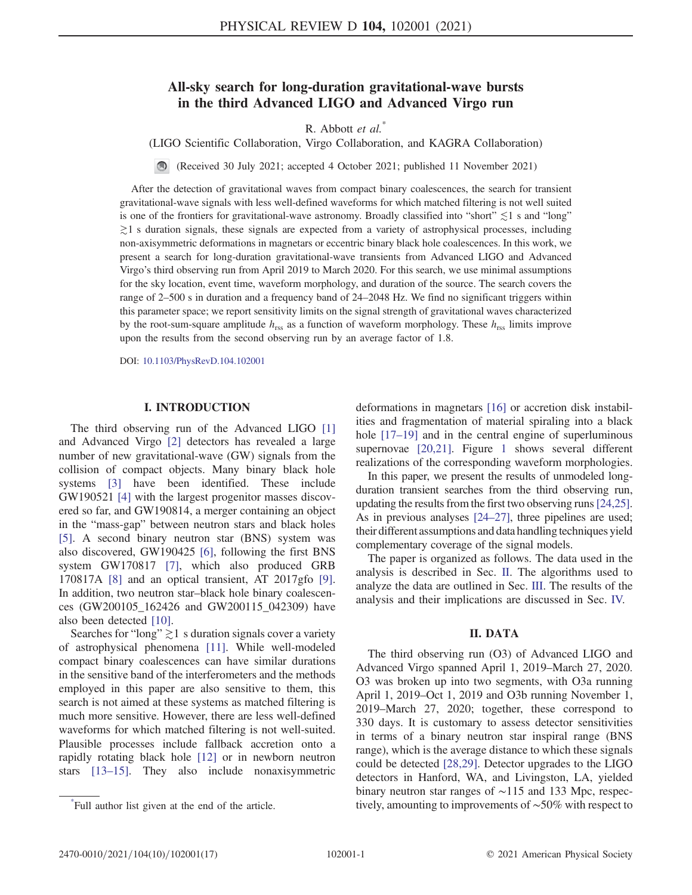# All-sky search for long-duration gravitational-wave bursts in the third Advanced LIGO and Advanced Virgo run

R. Abbott et al.<sup>\*</sup>

(LIGO Scientific Collaboration, Virgo Collaboration, and KAGRA Collaboration)

(Received 30 July 2021; accepted 4 October 2021; published 11 November 2021)

After the detection of gravitational waves from compact binary coalescences, the search for transient gravitational-wave signals with less well-defined waveforms for which matched filtering is not well suited is one of the frontiers for gravitational-wave astronomy. Broadly classified into "short"  $\lesssim$ 1 s and "long" ≳1 s duration signals, these signals are expected from a variety of astrophysical processes, including non-axisymmetric deformations in magnetars or eccentric binary black hole coalescences. In this work, we present a search for long-duration gravitational-wave transients from Advanced LIGO and Advanced Virgo's third observing run from April 2019 to March 2020. For this search, we use minimal assumptions for the sky location, event time, waveform morphology, and duration of the source. The search covers the range of 2–500 s in duration and a frequency band of 24–2048 Hz. We find no significant triggers within this parameter space; we report sensitivity limits on the signal strength of gravitational waves characterized by the root-sum-square amplitude  $h_{\text{rss}}$  as a function of waveform morphology. These  $h_{\text{rss}}$  limits improve upon the results from the second observing run by an average factor of 1.8.

DOI: [10.1103/PhysRevD.104.102001](https://doi.org/10.1103/PhysRevD.104.102001)

#### I. INTRODUCTION

The third observing run of the Advanced LIGO [\[1\]](#page-5-0) and Advanced Virgo [[2\]](#page-5-1) detectors has revealed a large number of new gravitational-wave (GW) signals from the collision of compact objects. Many binary black hole systems [[3](#page-5-2)] have been identified. These include GW190521 [\[4\]](#page-5-3) with the largest progenitor masses discovered so far, and GW190814, a merger containing an object in the "mass-gap" between neutron stars and black holes [\[5\]](#page-5-4). A second binary neutron star (BNS) system was also discovered, GW190425 [\[6](#page-5-5)], following the first BNS system GW170817 [[7](#page-5-6)], which also produced GRB 170817A [\[8\]](#page-5-7) and an optical transient, AT 2017gfo [[9](#page-5-8)]. In addition, two neutron star–black hole binary coalescences (GW200105\_162426 and GW200115\_042309) have also been detected [\[10\]](#page-5-9).

Searches for "long"  $\gtrsim$  1 s duration signals cover a variety of astrophysical phenomena [[11](#page-5-10)]. While well-modeled compact binary coalescences can have similar durations in the sensitive band of the interferometers and the methods employed in this paper are also sensitive to them, this search is not aimed at these systems as matched filtering is much more sensitive. However, there are less well-defined waveforms for which matched filtering is not well-suited. Plausible processes include fallback accretion onto a rapidly rotating black hole [[12](#page-5-11)] or in newborn neutron stars [\[13](#page-5-12)–[15](#page-5-13)]. They also include nonaxisymmetric

deformations in magnetars [\[16\]](#page-5-14) or accretion disk instabilities and fragmentation of material spiraling into a black hole [\[17](#page-5-15)–[19\]](#page-5-16) and in the central engine of superluminous supernovae [[20](#page-5-17),[21](#page-5-18)]. Figure [1](#page-1-0) shows several different realizations of the corresponding waveform morphologies.

In this paper, we present the results of unmodeled longduration transient searches from the third observing run, updating the results from the first two observing runs[\[24](#page-5-19)[,25](#page-5-20)]. As in previous analyses  $[24–27]$  $[24–27]$  $[24–27]$  $[24–27]$ , three pipelines are used; their different assumptions and data handling techniques yield complementary coverage of the signal models.

The paper is organized as follows. The data used in the analysis is described in Sec. [II.](#page-0-0) The algorithms used to analyze the data are outlined in Sec. [III.](#page-1-1) The results of the analysis and their implications are discussed in Sec. [IV.](#page-2-0)

### II. DATA

<span id="page-0-0"></span>The third observing run (O3) of Advanced LIGO and Advanced Virgo spanned April 1, 2019–March 27, 2020. O3 was broken up into two segments, with O3a running April 1, 2019–Oct 1, 2019 and O3b running November 1, 2019–March 27, 2020; together, these correspond to 330 days. It is customary to assess detector sensitivities in terms of a binary neutron star inspiral range (BNS range), which is the average distance to which these signals could be detected [[28](#page-5-22),[29](#page-5-23)]. Detector upgrades to the LIGO detectors in Hanford, WA, and Livingston, LA, yielded binary neutron star ranges of ∼115 and 133 Mpc, respectively, amounting to improvements of ∼50% with respect to \*

Full author list given at the end of the article.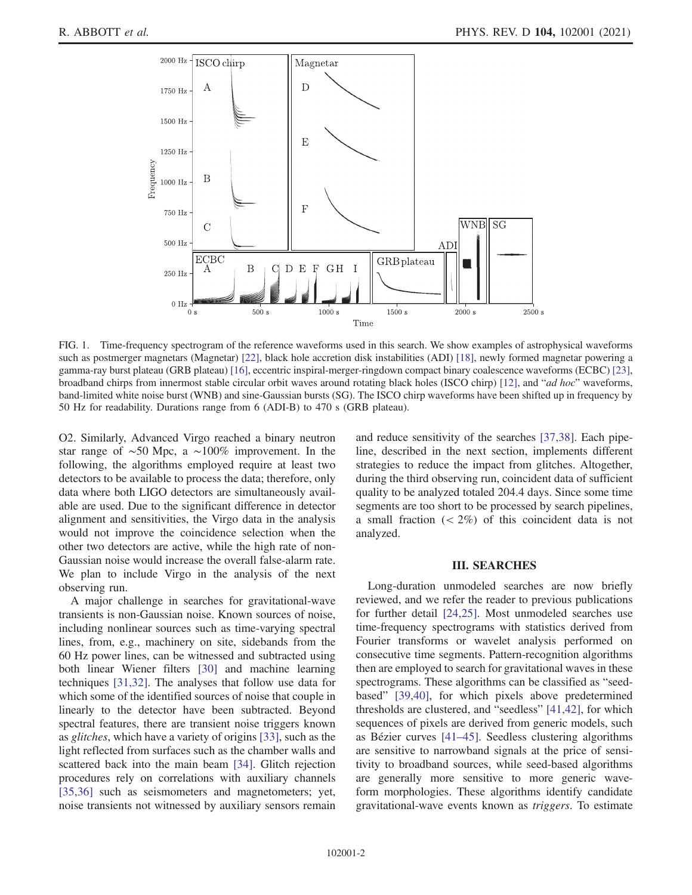<span id="page-1-0"></span>

FIG. 1. Time-frequency spectrogram of the reference waveforms used in this search. We show examples of astrophysical waveforms such as postmerger magnetars (Magnetar) [[22](#page-5-38)], black hole accretion disk instabilities (ADI) [[18](#page-5-39)], newly formed magnetar powering a gamma-ray burst plateau (GRB plateau) [[16](#page-5-14)], eccentric inspiral-merger-ringdown compact binary coalescence waveforms (ECBC) [\[23\]](#page-5-40), broadband chirps from innermost stable circular orbit waves around rotating black holes (ISCO chirp) [\[12\]](#page-5-11), and "ad hoc" waveforms, band-limited white noise burst (WNB) and sine-Gaussian bursts (SG). The ISCO chirp waveforms have been shifted up in frequency by 50 Hz for readability. Durations range from 6 (ADI-B) to 470 s (GRB plateau).

O2. Similarly, Advanced Virgo reached a binary neutron star range of ∼50 Mpc, a ∼100% improvement. In the following, the algorithms employed require at least two detectors to be available to process the data; therefore, only data where both LIGO detectors are simultaneously available are used. Due to the significant difference in detector alignment and sensitivities, the Virgo data in the analysis would not improve the coincidence selection when the other two detectors are active, while the high rate of non-Gaussian noise would increase the overall false-alarm rate. We plan to include Virgo in the analysis of the next observing run.

A major challenge in searches for gravitational-wave transients is non-Gaussian noise. Known sources of noise, including nonlinear sources such as time-varying spectral lines, from, e.g., machinery on site, sidebands from the 60 Hz power lines, can be witnessed and subtracted using both linear Wiener filters [[30](#page-5-24)] and machine learning techniques [[31](#page-5-25),[32](#page-5-26)]. The analyses that follow use data for which some of the identified sources of noise that couple in linearly to the detector have been subtracted. Beyond spectral features, there are transient noise triggers known as glitches, which have a variety of origins [\[33\]](#page-5-27), such as the light reflected from surfaces such as the chamber walls and scattered back into the main beam [[34](#page-5-28)]. Glitch rejection procedures rely on correlations with auxiliary channels [\[35](#page-5-29)[,36\]](#page-5-30) such as seismometers and magnetometers; yet, noise transients not witnessed by auxiliary sensors remain and reduce sensitivity of the searches [\[37](#page-5-31)[,38\]](#page-5-32). Each pipeline, described in the next section, implements different strategies to reduce the impact from glitches. Altogether, during the third observing run, coincident data of sufficient quality to be analyzed totaled 204.4 days. Since some time segments are too short to be processed by search pipelines, a small fraction  $\left( < 2\% \right)$  of this coincident data is not analyzed.

## III. SEARCHES

<span id="page-1-1"></span>Long-duration unmodeled searches are now briefly reviewed, and we refer the reader to previous publications for further detail [\[24](#page-5-19)[,25\]](#page-5-20). Most unmodeled searches use time-frequency spectrograms with statistics derived from Fourier transforms or wavelet analysis performed on consecutive time segments. Pattern-recognition algorithms then are employed to search for gravitational waves in these spectrograms. These algorithms can be classified as "seedbased" [[39](#page-5-33),[40](#page-5-34)], for which pixels above predetermined thresholds are clustered, and "seedless" [[41](#page-5-35)[,42\]](#page-5-36), for which sequences of pixels are derived from generic models, such as Bézier curves  $[41-45]$  $[41-45]$  $[41-45]$  $[41-45]$  $[41-45]$ . Seedless clustering algorithms are sensitive to narrowband signals at the price of sensitivity to broadband sources, while seed-based algorithms are generally more sensitive to more generic waveform morphologies. These algorithms identify candidate gravitational-wave events known as triggers. To estimate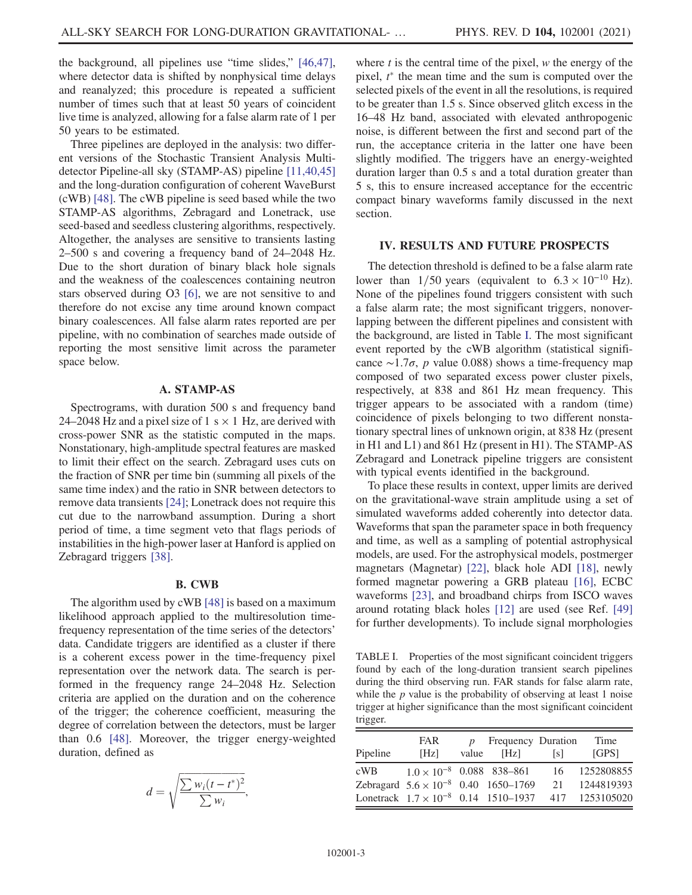the background, all pipelines use "time slides," [\[46,](#page-5-41)[47](#page-5-42)], where detector data is shifted by nonphysical time delays and reanalyzed; this procedure is repeated a sufficient number of times such that at least 50 years of coincident live time is analyzed, allowing for a false alarm rate of 1 per 50 years to be estimated.

Three pipelines are deployed in the analysis: two different versions of the Stochastic Transient Analysis Multidetector Pipeline-all sky (STAMP-AS) pipeline [[11](#page-5-10)[,40,](#page-5-34)[45\]](#page-5-37) and the long-duration configuration of coherent WaveBurst (cWB) [\[48\]](#page-5-43). The cWB pipeline is seed based while the two STAMP-AS algorithms, Zebragard and Lonetrack, use seed-based and seedless clustering algorithms, respectively. Altogether, the analyses are sensitive to transients lasting 2–500 s and covering a frequency band of 24–2048 Hz. Due to the short duration of binary black hole signals and the weakness of the coalescences containing neutron stars observed during O3 [[6\]](#page-5-5), we are not sensitive to and therefore do not excise any time around known compact binary coalescences. All false alarm rates reported are per pipeline, with no combination of searches made outside of reporting the most sensitive limit across the parameter space below.

#### A. STAMP-AS

Spectrograms, with duration 500 s and frequency band 24–2048 Hz and a pixel size of 1 s  $\times$  1 Hz, are derived with cross-power SNR as the statistic computed in the maps. Nonstationary, high-amplitude spectral features are masked to limit their effect on the search. Zebragard uses cuts on the fraction of SNR per time bin (summing all pixels of the same time index) and the ratio in SNR between detectors to remove data transients [\[24\]](#page-5-19); Lonetrack does not require this cut due to the narrowband assumption. During a short period of time, a time segment veto that flags periods of instabilities in the high-power laser at Hanford is applied on Zebragard triggers [[38](#page-5-32)].

#### B. CWB

The algorithm used by cWB [\[48\]](#page-5-43) is based on a maximum likelihood approach applied to the multiresolution timefrequency representation of the time series of the detectors' data. Candidate triggers are identified as a cluster if there is a coherent excess power in the time-frequency pixel representation over the network data. The search is performed in the frequency range 24–2048 Hz. Selection criteria are applied on the duration and on the coherence of the trigger; the coherence coefficient, measuring the degree of correlation between the detectors, must be larger than 0.6 [\[48\]](#page-5-43). Moreover, the trigger energy-weighted duration, defined as

$$
d = \sqrt{\frac{\sum w_i (t - t^*)^2}{\sum w_i}},
$$

where  $t$  is the central time of the pixel,  $w$  the energy of the pixel,  $t^*$  the mean time and the sum is computed over the selected pixels of the event in all the resolutions, is required to be greater than 1.5 s. Since observed glitch excess in the 16–48 Hz band, associated with elevated anthropogenic noise, is different between the first and second part of the run, the acceptance criteria in the latter one have been slightly modified. The triggers have an energy-weighted duration larger than 0.5 s and a total duration greater than 5 s, this to ensure increased acceptance for the eccentric compact binary waveforms family discussed in the next section.

### <span id="page-2-0"></span>IV. RESULTS AND FUTURE PROSPECTS

The detection threshold is defined to be a false alarm rate lower than 1/50 years (equivalent to  $6.3 \times 10^{-10}$  Hz). None of the pipelines found triggers consistent with such a false alarm rate; the most significant triggers, nonoverlapping between the different pipelines and consistent with the background, are listed in Table [I.](#page-2-1) The most significant event reported by the cWB algorithm (statistical significance ∼1.7 $\sigma$ , p value 0.088) shows a time-frequency map composed of two separated excess power cluster pixels, respectively, at 838 and 861 Hz mean frequency. This trigger appears to be associated with a random (time) coincidence of pixels belonging to two different nonstationary spectral lines of unknown origin, at 838 Hz (present in H1 and L1) and 861 Hz (present in H1). The STAMP-AS Zebragard and Lonetrack pipeline triggers are consistent with typical events identified in the background.

To place these results in context, upper limits are derived on the gravitational-wave strain amplitude using a set of simulated waveforms added coherently into detector data. Waveforms that span the parameter space in both frequency and time, as well as a sampling of potential astrophysical models, are used. For the astrophysical models, postmerger magnetars (Magnetar) [[22](#page-5-38)], black hole ADI [[18](#page-5-39)], newly formed magnetar powering a GRB plateau [\[16\]](#page-5-14), ECBC waveforms [[23](#page-5-40)], and broadband chirps from ISCO waves around rotating black holes [\[12\]](#page-5-11) are used (see Ref. [\[49\]](#page-5-44) for further developments). To include signal morphologies

<span id="page-2-1"></span>TABLE I. Properties of the most significant coincident triggers found by each of the long-duration transient search pipelines during the third observing run. FAR stands for false alarm rate, while the  $p$  value is the probability of observing at least 1 noise trigger at higher significance than the most significant coincident trigger.

|          | <b>FAR</b>                                    |       | Frequency Duration |      | Time                                                         |
|----------|-----------------------------------------------|-------|--------------------|------|--------------------------------------------------------------|
| Pipeline | [Hz]                                          | value | [Hz]               | Is L | <b>IGPS1</b>                                                 |
| cWB      | $1.0 \times 10^{-8}$ 0.088 838-861            |       |                    | 16   | 1252808855                                                   |
|          | Zebragard $5.6 \times 10^{-8}$ 0.40 1650-1769 |       |                    | 21   | 1244819393                                                   |
|          |                                               |       |                    |      | Lonetrack $1.7 \times 10^{-8}$ 0.14 1510-1937 417 1253105020 |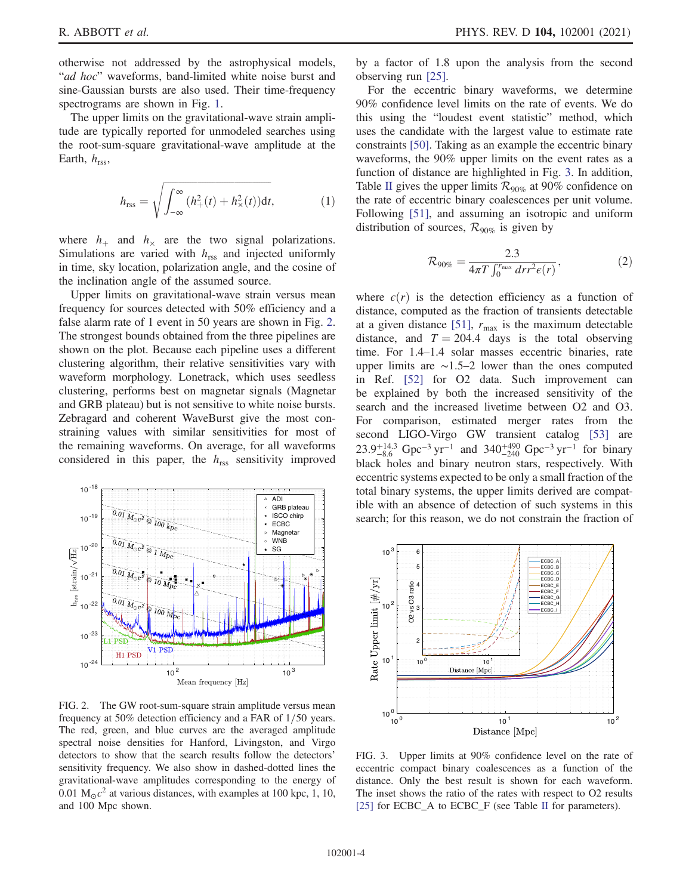otherwise not addressed by the astrophysical models, "ad hoc" waveforms, band-limited white noise burst and sine-Gaussian bursts are also used. Their time-frequency spectrograms are shown in Fig. [1](#page-1-0).

The upper limits on the gravitational-wave strain amplitude are typically reported for unmodeled searches using the root-sum-square gravitational-wave amplitude at the Earth,  $h_{\text{rss}}$ ,

$$
h_{\rm rss} = \sqrt{\int_{-\infty}^{\infty} (h_+^2(t) + h_\times^2(t)) \mathrm{d}t},\tag{1}
$$

where  $h_+$  and  $h_{\times}$  are the two signal polarizations. Simulations are varied with  $h_{\text{rss}}$  and injected uniformly in time, sky location, polarization angle, and the cosine of the inclination angle of the assumed source.

Upper limits on gravitational-wave strain versus mean frequency for sources detected with 50% efficiency and a false alarm rate of 1 event in 50 years are shown in Fig. [2](#page-3-0). The strongest bounds obtained from the three pipelines are shown on the plot. Because each pipeline uses a different clustering algorithm, their relative sensitivities vary with waveform morphology. Lonetrack, which uses seedless clustering, performs best on magnetar signals (Magnetar and GRB plateau) but is not sensitive to white noise bursts. Zebragard and coherent WaveBurst give the most constraining values with similar sensitivities for most of the remaining waveforms. On average, for all waveforms considered in this paper, the  $h_{\text{rss}}$  sensitivity improved

<span id="page-3-0"></span>

FIG. 2. The GW root-sum-square strain amplitude versus mean frequency at  $50\%$  detection efficiency and a FAR of  $1/50$  years. The red, green, and blue curves are the averaged amplitude spectral noise densities for Hanford, Livingston, and Virgo detectors to show that the search results follow the detectors' sensitivity frequency. We also show in dashed-dotted lines the gravitational-wave amplitudes corresponding to the energy of 0.01  $M_{\odot}c^2$  at various distances, with examples at 100 kpc, 1, 10, and 100 Mpc shown.

by a factor of 1.8 upon the analysis from the second observing run [[25](#page-5-20)].

For the eccentric binary waveforms, we determine 90% confidence level limits on the rate of events. We do this using the "loudest event statistic" method, which uses the candidate with the largest value to estimate rate constraints [[50](#page-5-45)]. Taking as an example the eccentric binary waveforms, the 90% upper limits on the event rates as a function of distance are highlighted in Fig. [3](#page-3-1). In addition, Table [II](#page-4-0) gives the upper limits  $\mathcal{R}_{90\%}$  at 90% confidence on the rate of eccentric binary coalescences per unit volume. Following [[51](#page-5-46)], and assuming an isotropic and uniform distribution of sources,  $\mathcal{R}_{90\%}$  is given by

$$
\mathcal{R}_{90\%} = \frac{2.3}{4\pi T \int_0^{r_{\text{max}}} dr r^2 \epsilon(r)},\tag{2}
$$

<span id="page-3-2"></span>where  $\epsilon(r)$  is the detection efficiency as a function of distance, computed as the fraction of transients detectable at a given distance [[51](#page-5-46)],  $r_{\text{max}}$  is the maximum detectable distance, and  $T = 204.4$  days is the total observing time. For 1.4–1.4 solar masses eccentric binaries, rate upper limits are ∼1.5–2 lower than the ones computed in Ref. [[52](#page-5-47)] for O2 data. Such improvement can be explained by both the increased sensitivity of the search and the increased livetime between O2 and O3. For comparison, estimated merger rates from the second LIGO-Virgo GW transient catalog [[53](#page-5-48)] are  $23.9^{+14.3}_{-8.6}$  Gpc<sup>-3</sup> yr<sup>-1</sup> and  $340^{+490}_{-240}$  Gpc<sup>-3</sup> yr<sup>-1</sup> for binary black holes and binary neutron stars, respectively. With eccentric systems expected to be only a small fraction of the total binary systems, the upper limits derived are compatible with an absence of detection of such systems in this search; for this reason, we do not constrain the fraction of

<span id="page-3-1"></span>

FIG. 3. Upper limits at 90% confidence level on the rate of eccentric compact binary coalescences as a function of the distance. Only the best result is shown for each waveform. The inset shows the ratio of the rates with respect to O2 results [\[25\]](#page-5-20) for ECBC\_A to ECBC\_F (see Table [II](#page-4-0) for parameters).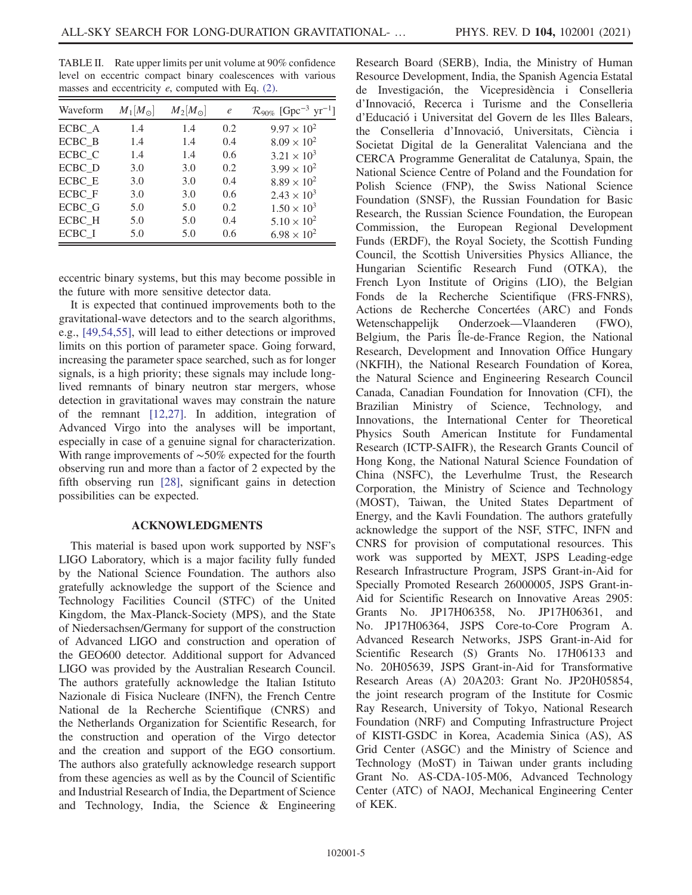<span id="page-4-0"></span>TABLE II. Rate upper limits per unit volume at 90% confidence level on eccentric compact binary coalescences with various masses and eccentricity  $e$ , computed with Eq.  $(2)$ .

| Waveform | $M_1[M_\odot]$ | $M_2[M_{\odot}]$ | $\epsilon$ | $\mathcal{R}_{90\%}$ [Gpc <sup>-3</sup> yr <sup>-1</sup> ] |
|----------|----------------|------------------|------------|------------------------------------------------------------|
| ECBC_A   | 1.4            | 1.4              | 0.2        | $9.97 \times 10^{2}$                                       |
| ECBC B   | 1.4            | 1.4              | 0.4        | $8.09 \times 10^{2}$                                       |
| ECBC C   | 1.4            | 1.4              | 0.6        | $3.21 \times 10^{3}$                                       |
| ECBC D   | 3.0            | 3.0              | 0.2        | $3.99 \times 10^{2}$                                       |
| ECBC E   | 3.0            | 3.0              | 0.4        | $8.89 \times 10^{2}$                                       |
| ECBC_F   | 3.0            | 3.0              | 0.6        | $2.43 \times 10^{3}$                                       |
| ECBC G   | 5.0            | 5.0              | 0.2        | $1.50 \times 10^{3}$                                       |
| ECBC H   | 5.0            | 5.0              | 0.4        | $5.10 \times 10^{2}$                                       |
| ECBC I   | 5.0            | 5.0              | 0.6        | $6.98 \times 10^{2}$                                       |

eccentric binary systems, but this may become possible in the future with more sensitive detector data.

It is expected that continued improvements both to the gravitational-wave detectors and to the search algorithms, e.g., [\[49](#page-5-44)[,54,](#page-5-49)[55](#page-5-50)], will lead to either detections or improved limits on this portion of parameter space. Going forward, increasing the parameter space searched, such as for longer signals, is a high priority; these signals may include longlived remnants of binary neutron star mergers, whose detection in gravitational waves may constrain the nature of the remnant [[12](#page-5-11),[27](#page-5-21)]. In addition, integration of Advanced Virgo into the analyses will be important, especially in case of a genuine signal for characterization. With range improvements of ~50% expected for the fourth observing run and more than a factor of 2 expected by the fifth observing run [[28](#page-5-22)], significant gains in detection possibilities can be expected.

## ACKNOWLEDGMENTS

This material is based upon work supported by NSF's LIGO Laboratory, which is a major facility fully funded by the National Science Foundation. The authors also gratefully acknowledge the support of the Science and Technology Facilities Council (STFC) of the United Kingdom, the Max-Planck-Society (MPS), and the State of Niedersachsen/Germany for support of the construction of Advanced LIGO and construction and operation of the GEO600 detector. Additional support for Advanced LIGO was provided by the Australian Research Council. The authors gratefully acknowledge the Italian Istituto Nazionale di Fisica Nucleare (INFN), the French Centre National de la Recherche Scientifique (CNRS) and the Netherlands Organization for Scientific Research, for the construction and operation of the Virgo detector and the creation and support of the EGO consortium. The authors also gratefully acknowledge research support from these agencies as well as by the Council of Scientific and Industrial Research of India, the Department of Science and Technology, India, the Science & Engineering

Research Board (SERB), India, the Ministry of Human Resource Development, India, the Spanish Agencia Estatal de Investigación, the Vicepresidència i Conselleria d'Innovació, Recerca i Turisme and the Conselleria d'Educació i Universitat del Govern de les Illes Balears, the Conselleria d'Innovació, Universitats, Ciència i Societat Digital de la Generalitat Valenciana and the CERCA Programme Generalitat de Catalunya, Spain, the National Science Centre of Poland and the Foundation for Polish Science (FNP), the Swiss National Science Foundation (SNSF), the Russian Foundation for Basic Research, the Russian Science Foundation, the European Commission, the European Regional Development Funds (ERDF), the Royal Society, the Scottish Funding Council, the Scottish Universities Physics Alliance, the Hungarian Scientific Research Fund (OTKA), the French Lyon Institute of Origins (LIO), the Belgian Fonds de la Recherche Scientifique (FRS-FNRS), Actions de Recherche Concertées (ARC) and Fonds<br>Wetenschappelijk Onderzoek—Vlaanderen (FWO), Onderzoek—Vlaanderen (FWO), Belgium, the Paris Île-de-France Region, the National Research, Development and Innovation Office Hungary (NKFIH), the National Research Foundation of Korea, the Natural Science and Engineering Research Council Canada, Canadian Foundation for Innovation (CFI), the Brazilian Ministry of Science, Technology, and Innovations, the International Center for Theoretical Physics South American Institute for Fundamental Research (ICTP-SAIFR), the Research Grants Council of Hong Kong, the National Natural Science Foundation of China (NSFC), the Leverhulme Trust, the Research Corporation, the Ministry of Science and Technology (MOST), Taiwan, the United States Department of Energy, and the Kavli Foundation. The authors gratefully acknowledge the support of the NSF, STFC, INFN and CNRS for provision of computational resources. This work was supported by MEXT, JSPS Leading-edge Research Infrastructure Program, JSPS Grant-in-Aid for Specially Promoted Research 26000005, JSPS Grant-in-Aid for Scientific Research on Innovative Areas 2905: Grants No. JP17H06358, No. JP17H06361, and No. JP17H06364, JSPS Core-to-Core Program A. Advanced Research Networks, JSPS Grant-in-Aid for Scientific Research (S) Grants No. 17H06133 and No. 20H05639, JSPS Grant-in-Aid for Transformative Research Areas (A) 20A203: Grant No. JP20H05854, the joint research program of the Institute for Cosmic Ray Research, University of Tokyo, National Research Foundation (NRF) and Computing Infrastructure Project of KISTI-GSDC in Korea, Academia Sinica (AS), AS Grid Center (ASGC) and the Ministry of Science and Technology (MoST) in Taiwan under grants including Grant No. AS-CDA-105-M06, Advanced Technology Center (ATC) of NAOJ, Mechanical Engineering Center of KEK.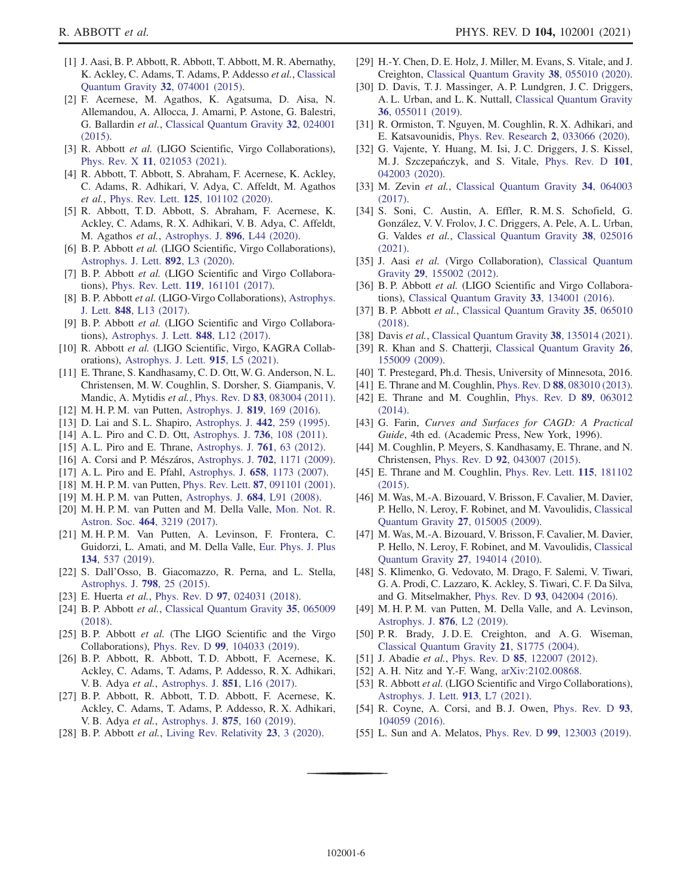- <span id="page-5-0"></span>[1] J. Aasi, B. P. Abbott, R. Abbott, T. Abbott, M. R. Abernathy, K. Ackley, C. Adams, T. Adams, P. Addesso et al., [Classical](https://doi.org/10.1088/0264-9381/32/11/115012) [Quantum Gravity](https://doi.org/10.1088/0264-9381/32/11/115012) 32, 074001 (2015).
- <span id="page-5-1"></span>[2] F. Acernese, M. Agathos, K. Agatsuma, D. Aisa, N. Allemandou, A. Allocca, J. Amarni, P. Astone, G. Balestri, G. Ballardin et al., [Classical Quantum Gravity](https://doi.org/10.1088/0264-9381/32/2/024001) 32, 024001 [\(2015\).](https://doi.org/10.1088/0264-9381/32/2/024001)
- <span id="page-5-2"></span>[3] R. Abbott et al. (LIGO Scientific, Virgo Collaborations), Phys. Rev. X 11[, 021053 \(2021\)](https://doi.org/10.1103/PhysRevX.11.021053).
- <span id="page-5-3"></span>[4] R. Abbott, T. Abbott, S. Abraham, F. Acernese, K. Ackley, C. Adams, R. Adhikari, V. Adya, C. Affeldt, M. Agathos et al., Phys. Rev. Lett. **125**[, 101102 \(2020\)](https://doi.org/10.1103/PhysRevLett.125.101102).
- <span id="page-5-4"></span>[5] R. Abbott, T. D. Abbott, S. Abraham, F. Acernese, K. Ackley, C. Adams, R. X. Adhikari, V. B. Adya, C. Affeldt, M. Agathos et al., [Astrophys. J.](https://doi.org/10.3847/2041-8213/ab960f) 896, L44 (2020).
- <span id="page-5-5"></span>[6] B. P. Abbott et al. (LIGO Scientific, Virgo Collaborations), [Astrophys. J. Lett.](https://doi.org/10.3847/2041-8213/ab75f5) 892, L3 (2020).
- <span id="page-5-6"></span>[7] B. P. Abbott et al. (LIGO Scientific and Virgo Collaborations), Phys. Rev. Lett. 119[, 161101 \(2017\).](https://doi.org/10.1103/PhysRevLett.119.161101)
- <span id="page-5-7"></span>[8] B. P. Abbott et al. (LIGO-Virgo Collaborations), [Astrophys.](https://doi.org/10.3847/2041-8213/aa920c) J. Lett. 848[, L13 \(2017\).](https://doi.org/10.3847/2041-8213/aa920c)
- <span id="page-5-8"></span>[9] B. P. Abbott et al. (LIGO Scientific and Virgo Collaborations), [Astrophys. J. Lett.](https://doi.org/10.3847/2041-8213/aa91c9) 848, L12 (2017).
- <span id="page-5-9"></span>[10] R. Abbott et al. (LIGO Scientific, Virgo, KAGRA Collaborations), [Astrophys. J. Lett.](https://doi.org/10.3847/2041-8213/ac082e) 915, L5 (2021).
- <span id="page-5-10"></span>[11] E. Thrane, S. Kandhasamy, C. D. Ott, W. G. Anderson, N. L. Christensen, M. W. Coughlin, S. Dorsher, S. Giampanis, V. Mandic, A. Mytidis et al., Phys. Rev. D 83[, 083004 \(2011\).](https://doi.org/10.1103/PhysRevD.83.083004)
- <span id="page-5-11"></span>[12] M. H. P. M. van Putten, [Astrophys. J.](https://doi.org/10.3847/0004-637X/819/2/169) 819, 169 (2016).
- <span id="page-5-12"></span>[13] D. Lai and S. L. Shapiro, [Astrophys. J.](https://doi.org/10.1086/175438) 442, 259 (1995).
- [14] A. L. Piro and C. D. Ott, [Astrophys. J.](https://doi.org/10.1088/0004-637X/736/2/108) **736**, 108 (2011).
- <span id="page-5-13"></span>[15] A. L. Piro and E. Thrane, [Astrophys. J.](https://doi.org/10.1088/0004-637X/761/1/63) **761**, 63 (2012).
- <span id="page-5-14"></span>[16] A. Corsi and P. Mészáros, Astrophys. J. 702[, 1171 \(2009\).](https://doi.org/10.1088/0004-637X/702/2/1171)
- <span id="page-5-15"></span>[17] A. L. Piro and E. Pfahl, Astrophys. J. 658[, 1173 \(2007\).](https://doi.org/10.1086/511672)
- <span id="page-5-39"></span>[18] M. H. P. M. van Putten, Phys. Rev. Lett. 87[, 091101 \(2001\).](https://doi.org/10.1103/PhysRevLett.87.091101)
- <span id="page-5-16"></span>[19] M. H. P. M. van Putten, [Astrophys. J.](https://doi.org/10.1086/592216) 684, L91 (2008).
- <span id="page-5-17"></span>[20] M. H. P. M. van Putten and M. Della Valle, [Mon. Not. R.](https://doi.org/10.1093/mnras/stw2496) Astron. Soc. 464[, 3219 \(2017\)](https://doi.org/10.1093/mnras/stw2496).
- <span id="page-5-18"></span>[21] M. H. P. M. Van Putten, A. Levinson, F. Frontera, C. Guidorzi, L. Amati, and M. Della Valle, [Eur. Phys. J. Plus](https://doi.org/10.1140/epjp/i2019-12932-3) 134[, 537 \(2019\)](https://doi.org/10.1140/epjp/i2019-12932-3).
- <span id="page-5-38"></span>[22] S. Dall'Osso, B. Giacomazzo, R. Perna, and L. Stella, [Astrophys. J.](https://doi.org/10.1088/0004-637X/798/1/25) 798, 25 (2015).
- <span id="page-5-40"></span>[23] E. Huerta et al., Phys. Rev. D 97[, 024031 \(2018\)](https://doi.org/10.1103/PhysRevD.97.024031).
- <span id="page-5-19"></span>[24] B. P. Abbott et al., [Classical Quantum Gravity](https://doi.org/10.1088/1361-6382/aaab76) 35, 065009 [\(2018\).](https://doi.org/10.1088/1361-6382/aaab76)
- <span id="page-5-20"></span>[25] B. P. Abbott et al. (The LIGO Scientific and the Virgo Collaborations), Phys. Rev. D 99[, 104033 \(2019\).](https://doi.org/10.1103/PhysRevD.99.104033)
- [26] B. P. Abbott, R. Abbott, T. D. Abbott, F. Acernese, K. Ackley, C. Adams, T. Adams, P. Addesso, R. X. Adhikari, V. B. Adya et al., [Astrophys. J.](https://doi.org/10.3847/2041-8213/aa9a35) 851, L16 (2017).
- <span id="page-5-21"></span>[27] B. P. Abbott, R. Abbott, T. D. Abbott, F. Acernese, K. Ackley, C. Adams, T. Adams, P. Addesso, R. X. Adhikari, V. B. Adya et al., [Astrophys. J.](https://doi.org/10.3847/1538-4357/ab0f3d) 875, 160 (2019).
- <span id="page-5-22"></span>[28] B. P. Abbott et al., [Living Rev. Relativity](https://doi.org/10.1007/s41114-020-00026-9) 23, 3 (2020).
- <span id="page-5-23"></span>[29] H.-Y. Chen, D. E. Holz, J. Miller, M. Evans, S. Vitale, and J. Creighton, [Classical Quantum Gravity](https://doi.org/10.1088/1361-6382/abd594) 38, 055010 (2020).
- <span id="page-5-24"></span>[30] D. Davis, T. J. Massinger, A. P. Lundgren, J. C. Driggers, A. L. Urban, and L. K. Nuttall, [Classical Quantum Gravity](https://doi.org/10.1088/1361-6382/ab01c5) 36[, 055011 \(2019\).](https://doi.org/10.1088/1361-6382/ab01c5)
- <span id="page-5-25"></span>[31] R. Ormiston, T. Nguyen, M. Coughlin, R. X. Adhikari, and E. Katsavounidis, [Phys. Rev. Research](https://doi.org/10.1103/PhysRevResearch.2.033066) 2, 033066 (2020).
- <span id="page-5-26"></span>[32] G. Vajente, Y. Huang, M. Isi, J. C. Driggers, J. S. Kissel, M. J. Szczepańczyk, and S. Vitale, [Phys. Rev. D](https://doi.org/10.1103/PhysRevD.101.042003) 101, [042003 \(2020\).](https://doi.org/10.1103/PhysRevD.101.042003)
- <span id="page-5-27"></span>[33] M. Zevin et al., [Classical Quantum Gravity](https://doi.org/10.1088/1361-6382/aa5cea) 34, 064003 [\(2017\).](https://doi.org/10.1088/1361-6382/aa5cea)
- <span id="page-5-28"></span>[34] S. Soni, C. Austin, A. Effler, R. M. S. Schofield, G. González, V. V. Frolov, J. C. Driggers, A. Pele, A. L. Urban, G. Valdes et al., [Classical Quantum Gravity](https://doi.org/10.1088/1361-6382/abc906) 38, 025016 [\(2021\).](https://doi.org/10.1088/1361-6382/abc906)
- <span id="page-5-29"></span>[35] J. Aasi et al. (Virgo Collaboration), [Classical Quantum](https://doi.org/10.1088/0264-9381/29/15/155002) Gravity 29[, 155002 \(2012\).](https://doi.org/10.1088/0264-9381/29/15/155002)
- <span id="page-5-30"></span>[36] B. P. Abbott et al. (LIGO Scientific and Virgo Collaborations), [Classical Quantum Gravity](https://doi.org/10.1088/0264-9381/33/13/134001) 33, 134001 (2016).
- <span id="page-5-31"></span>[37] B. P. Abbott et al., [Classical Quantum Gravity](https://doi.org/10.1088/1361-6382/aaaafa) 35, 065010 [\(2018\).](https://doi.org/10.1088/1361-6382/aaaafa)
- <span id="page-5-32"></span>[38] Davis et al., [Classical Quantum Gravity](https://doi.org/10.1088/1361-6382/abfd85) 38, 135014 (2021).
- <span id="page-5-33"></span>[39] R. Khan and S. Chatterji, [Classical Quantum Gravity](https://doi.org/10.1088/0264-9381/26/15/155009) 26, [155009 \(2009\).](https://doi.org/10.1088/0264-9381/26/15/155009)
- <span id="page-5-34"></span>[40] T. Prestegard, Ph.d. Thesis, University of Minnesota, 2016.
- <span id="page-5-35"></span>[41] E. Thrane and M. Coughlin, Phys. Rev. D 88[, 083010 \(2013\).](https://doi.org/10.1103/PhysRevD.88.083010)
- <span id="page-5-36"></span>[42] E. Thrane and M. Coughlin, [Phys. Rev. D](https://doi.org/10.1103/PhysRevD.89.063012) 89, 063012 [\(2014\).](https://doi.org/10.1103/PhysRevD.89.063012)
- [43] G. Farin, Curves and Surfaces for CAGD: A Practical Guide, 4th ed. (Academic Press, New York, 1996).
- [44] M. Coughlin, P. Meyers, S. Kandhasamy, E. Thrane, and N. Christensen, Phys. Rev. D 92[, 043007 \(2015\).](https://doi.org/10.1103/PhysRevD.92.043007)
- <span id="page-5-37"></span>[45] E. Thrane and M. Coughlin, [Phys. Rev. Lett.](https://doi.org/10.1103/PhysRevLett.115.181102) **115**, 181102 [\(2015\).](https://doi.org/10.1103/PhysRevLett.115.181102)
- <span id="page-5-41"></span>[46] M. Was, M.-A. Bizouard, V. Brisson, F. Cavalier, M. Davier, P. Hello, N. Leroy, F. Robinet, and M. Vavoulidis, [Classical](https://doi.org/10.1088/0264-9381/27/1/015005) [Quantum Gravity](https://doi.org/10.1088/0264-9381/27/1/015005) 27, 015005 (2009).
- <span id="page-5-42"></span>[47] M. Was, M.-A. Bizouard, V. Brisson, F. Cavalier, M. Davier, P. Hello, N. Leroy, F. Robinet, and M. Vavoulidis, [Classical](https://doi.org/10.1088/0264-9381/27/19/194014) [Quantum Gravity](https://doi.org/10.1088/0264-9381/27/19/194014) 27, 194014 (2010).
- <span id="page-5-43"></span>[48] S. Klimenko, G. Vedovato, M. Drago, F. Salemi, V. Tiwari, G. A. Prodi, C. Lazzaro, K. Ackley, S. Tiwari, C. F. Da Silva, and G. Mitselmakher, Phys. Rev. D 93[, 042004 \(2016\).](https://doi.org/10.1103/PhysRevD.93.042004)
- <span id="page-5-44"></span>[49] M. H. P. M. van Putten, M. Della Valle, and A. Levinson, [Astrophys. J.](https://doi.org/10.3847/2041-8213/ab18a2) 876, L2 (2019).
- <span id="page-5-45"></span>[50] P.R. Brady, J.D.E. Creighton, and A.G. Wiseman, [Classical Quantum Gravity](https://doi.org/10.1088/0264-9381/21/20/020) 21, S1775 (2004).
- <span id="page-5-46"></span>[51] J. Abadie et al., Phys. Rev. D 85[, 122007 \(2012\).](https://doi.org/10.1103/PhysRevD.85.122007)
- <span id="page-5-47"></span>[52] A. H. Nitz and Y.-F. Wang, [arXiv:2102.00868.](https://arXiv.org/abs/2102.00868)
- <span id="page-5-48"></span>[53] R. Abbott et al. (LIGO Scientific and Virgo Collaborations), [Astrophys. J. Lett.](https://doi.org/10.3847/2041-8213/abe949) 913, L7 (2021).
- <span id="page-5-49"></span>[54] R. Coyne, A. Corsi, and B. J. Owen, [Phys. Rev. D](https://doi.org/10.1103/PhysRevD.93.104059) 93, [104059 \(2016\).](https://doi.org/10.1103/PhysRevD.93.104059)
- <span id="page-5-50"></span>[55] L. Sun and A. Melatos, *Phys. Rev. D* 99[, 123003 \(2019\).](https://doi.org/10.1103/PhysRevD.99.123003)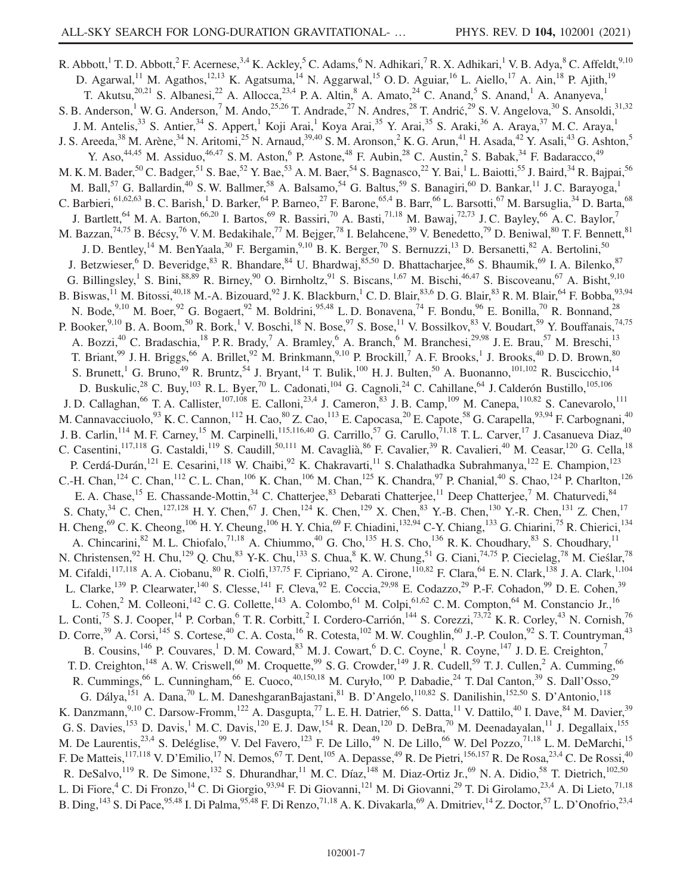R. Abbott,<sup>1</sup> T. D. Abbott,<sup>2</sup> F. Acernese,<sup>3,4</sup> K. Ackley,<sup>5</sup> C. Adams,<sup>6</sup> N. Adhikari,<sup>7</sup> R. X. Adhikari,<sup>1</sup> V. B. Adya,<sup>8</sup> C. Affeldt,<sup>9,10</sup> D. Agarwal,<sup>11</sup> M. Agathos,<sup>12,13</sup> K. Agatsuma,<sup>14</sup> N. Aggarwal,<sup>15</sup> O. D. Aguiar,<sup>16</sup> L. Aiello,<sup>17</sup> A. Ain,<sup>18</sup> P. Ajith,<sup>19</sup> T. Akutsu,<sup>20,21</sup> S. Albanesi,<sup>22</sup> A. Allocca,<sup>23,4</sup> P. A. Altin,<sup>8</sup> A. Amato,<sup>24</sup> C. Anand,<sup>5</sup> S. Anand,<sup>1</sup> A. Ananyeva,<sup>1</sup> S. B. Anderson,<sup>1</sup> W. G. Anderson,<sup>7</sup> M. Ando,<sup>25,26</sup> T. Andrade,<sup>27</sup> N. Andres,<sup>28</sup> T. Andrić,<sup>29</sup> S. V. Angelova,<sup>30</sup> S. Ansoldi,<sup>31,32</sup> J. M. Antelis,<sup>33</sup> S. Antier,<sup>34</sup> S. Appert,<sup>1</sup> Koji Arai,<sup>1</sup> Koya Arai,<sup>35</sup> Y. Arai,<sup>35</sup> S. Araki,<sup>36</sup> A. Araya,<sup>37</sup> M. C. Araya,<sup>1</sup> J. S. Areeda,  $^{38}$  M. Arène,  $^{34}$  N. Aritomi,  $^{25}$  N. Arnaud,  $^{39,40}$  S. M. Aronson,  $^2$  K. G. Arun,  $^{41}$  H. Asada,  $^{42}$  Y. Asali,  $^{43}$  G. Ashton,  $^5$ Y. Aso,  $44,45$  M. Assiduo,  $46,47$  S. M. Aston, <sup>6</sup> P. Astone,  $48$  F. Aubin,  $28$  C. Austin, <sup>2</sup> S. Babak,  $34$  F. Badaracco,  $49$ M. K. M. Bader,<sup>50</sup> C. Badger,<sup>51</sup> S. Bae,<sup>52</sup> Y. Bae,<sup>53</sup> A. M. Baer,<sup>54</sup> S. Bagnasco,<sup>22</sup> Y. Bai,<sup>1</sup> L. Baiotti,<sup>55</sup> J. Baird,<sup>34</sup> R. Bajpai,<sup>56</sup> M. Ball,<sup>57</sup> G. Ballardin,<sup>40</sup> S. W. Ballmer,<sup>58</sup> A. Balsamo,<sup>54</sup> G. Baltus,<sup>59</sup> S. Banagiri,<sup>60</sup> D. Bankar,<sup>11</sup> J. C. Barayoga,<sup>1</sup> C. Barbieri,  $61,62,63$  B. C. Barish,<sup>1</sup> D. Barker,  $64$  P. Barneo,  $27$  F. Barone,  $65,4$  B. Barr,  $66$  L. Barsotti,  $67$  M. Barsuglia,  $34$  D. Barta,  $68$ J. Bartlett,<sup>64</sup> M. A. Barton,<sup>66,20</sup> I. Bartos,<sup>69</sup> R. Bassiri,<sup>70</sup> A. Basti,<sup>71,18</sup> M. Bawaj,<sup>72,73</sup> J. C. Bayley,<sup>66</sup> A. C. Baylor,<sup>7</sup> M. Bazzan,<sup>74,75</sup> B. Bécsy,<sup>76</sup> V. M. Bedakihale,<sup>77</sup> M. Bejger,<sup>78</sup> I. Belahcene,<sup>39</sup> V. Benedetto,<sup>79</sup> D. Beniwal,<sup>80</sup> T. F. Bennett,<sup>81</sup> J. D. Bentley,<sup>14</sup> M. BenYaala,<sup>30</sup> F. Bergamin,<sup>9,10</sup> B. K. Berger,<sup>70</sup> S. Bernuzzi,<sup>13</sup> D. Bersanetti,<sup>82</sup> A. Bertolini,<sup>50</sup> J. Betzwieser, <sup>6</sup> D. Beveridge, <sup>83</sup> R. Bhandare, <sup>84</sup> U. Bhardwaj, <sup>85,50</sup> D. Bhattacharjee, <sup>86</sup> S. Bhaumik, <sup>69</sup> I. A. Bilenko, <sup>87</sup> G. Billingsley, <sup>1</sup> S. Bini,<sup>88,89</sup> R. Birney, <sup>90</sup> O. Birnholtz, <sup>91</sup> S. Biscans, <sup>1,67</sup> M. Bischi, <sup>46,47</sup> S. Biscoveanu, <sup>67</sup> A. Bisht, <sup>9,10</sup> B. Biswas,<sup>11</sup> M. Bitossi,<sup>40,18</sup> M.-A. Bizouard,<sup>92</sup> J. K. Blackburn,<sup>1</sup> C. D. Blair,<sup>83,6</sup> D. G. Blair,<sup>83</sup> R. M. Blair,<sup>64</sup> F. Bobba,<sup>93,94</sup> N. Bode,<sup>9,10</sup> M. Boer,<sup>92</sup> G. Bogaert,<sup>92</sup> M. Boldrini,<sup>95,48</sup> L. D. Bonavena,<sup>74</sup> F. Bondu,<sup>96</sup> E. Bonilla,<sup>70</sup> R. Bonnand,<sup>28</sup> P. Booker,  $9,10$  B. A. Boom,  $50$  R. Bork,  $1$  V. Boschi,  $18$  N. Bose,  $97$  S. Bose,  $11$  V. Bossilkov,  $83$  V. Boudart,  $59$  Y. Bouffanais,  $74,75$ A. Bozzi,<sup>40</sup> C. Bradaschia,<sup>18</sup> P. R. Brady,<sup>7</sup> A. Bramley,<sup>6</sup> A. Branch,<sup>6</sup> M. Branchesi,<sup>29,98</sup> J. E. Brau,<sup>57</sup> M. Breschi,<sup>13</sup> T. Briant,  $99$  J. H. Briggs,  $^{66}$  A. Brillet,  $92$  M. Brinkmann,  $^{9,10}$  P. Brockill,  $^7$  A. F. Brooks,  $^1$  J. Brooks,  $^{40}$  D. D. Brown,  $^{80}$ S. Brunett,<sup>1</sup> G. Bruno,<sup>49</sup> R. Bruntz,<sup>54</sup> J. Bryant,<sup>14</sup> T. Bulik,<sup>100</sup> H. J. Bulten,<sup>50</sup> A. Buonanno,<sup>101,102</sup> R. Buscicchio,<sup>14</sup> D. Buskulic,<sup>28</sup> C. Buy,<sup>103</sup> R. L. Byer,<sup>70</sup> L. Cadonati,<sup>104</sup> G. Cagnoli,<sup>24</sup> C. Cahillane,<sup>64</sup> J. Calderón Bustillo,<sup>105,106</sup> J. D. Callaghan,<sup>66</sup> T. A. Callister,<sup>107,108</sup> E. Calloni,<sup>23,4</sup> J. Cameron,<sup>83</sup> J. B. Camp,<sup>109</sup> M. Canepa,<sup>110,82</sup> S. Canevarolo,<sup>111</sup> M. Cannavacciuolo,<sup>93</sup> K. C. Cannon,<sup>112</sup> H. Cao,<sup>80</sup> Z. Cao,<sup>113</sup> E. Capocasa,<sup>20</sup> E. Capote,<sup>58</sup> G. Carapella,<sup>93,94</sup> F. Carbognani,<sup>40</sup> J. B. Carlin,<sup>114</sup> M. F. Carney,<sup>15</sup> M. Carpinelli,<sup>115,116,40</sup> G. Carrillo,<sup>57</sup> G. Carullo,<sup>71,18</sup> T. L. Carver,<sup>17</sup> J. Casanueva Diaz,<sup>40</sup> C. Casentini, <sup>117,118</sup> G. Castaldi, <sup>119</sup> S. Caudill, <sup>50,111</sup> M. Cavaglià, <sup>86</sup> F. Cavalier, <sup>39</sup> R. Cavalieri, <sup>40</sup> M. Ceasar, <sup>120</sup> G. Cella, <sup>18</sup> P. Cerdá-Durán,<sup>121</sup> E. Cesarini,<sup>118</sup> W. Chaibi,<sup>92</sup> K. Chakravarti,<sup>11</sup> S. Chalathadka Subrahmanya,<sup>122</sup> E. Champion,<sup>123</sup> C.-H. Chan,<sup>124</sup> C. Chan,<sup>112</sup> C. L. Chan,<sup>106</sup> K. Chan,<sup>106</sup> M. Chan,<sup>125</sup> K. Chandra,<sup>97</sup> P. Chanial,<sup>40</sup> S. Chao,<sup>124</sup> P. Charlton,<sup>126</sup> E. A. Chase, <sup>15</sup> E. Chassande-Mottin, <sup>34</sup> C. Chatterjee, <sup>33</sup> Debarati Chatterjee, <sup>11</sup> Deep Chatterjee, <sup>7</sup> M. Chaturvedi, <sup>84</sup> S. Chaty,<sup>34</sup> C. Chen,<sup>127,128</sup> H. Y. Chen,<sup>67</sup> J. Chen,<sup>124</sup> K. Chen,<sup>129</sup> X. Chen,<sup>83</sup> Y.-B. Chen,<sup>130</sup> Y.-R. Chen,<sup>131</sup> Z. Chen,<sup>17</sup> H. Cheng,<sup>69</sup> C. K. Cheong,<sup>106</sup> H. Y. Cheung,<sup>106</sup> H. Y. Chia,<sup>69</sup> F. Chiadini,<sup>132,94</sup> C-Y. Chiang,<sup>133</sup> G. Chiarini,<sup>75</sup> R. Chierici,<sup>134</sup> A. Chincarini,  ${}^{82}$  M. L. Chiofalo,  ${}^{71,18}$  A. Chiummo,  ${}^{40}$  G. Cho,  ${}^{135}$  H. S. Cho,  ${}^{136}$  R. K. Choudhary,  ${}^{83}$  S. Choudhary,  ${}^{11}$ N. Christensen,<sup>92</sup> H. Chu,<sup>129</sup> Q. Chu,<sup>83</sup> Y-K. Chu,<sup>133</sup> S. Chua,<sup>8</sup> K. W. Chung,<sup>51</sup> G. Ciani,<sup>74,75</sup> P. Ciecielag,<sup>78</sup> M. Cieślar,<sup>78</sup> M. Cifaldi,<sup>117,118</sup> A. A. Ciobanu,<sup>80</sup> R. Ciolfi,<sup>137,75</sup> F. Cipriano,<sup>92</sup> A. Cirone,<sup>110,82</sup> F. Clara,<sup>64</sup> E. N. Clark,<sup>138</sup> J. A. Clark,<sup>1,104</sup> L. Clarke,<sup>139</sup> P. Clearwater,<sup>140</sup> S. Clesse,<sup>141</sup> F. Cleva,<sup>92</sup> E. Coccia,<sup>29,98</sup> E. Codazzo,<sup>29</sup> P.-F. Cohadon,<sup>99</sup> D. E. Cohen,<sup>39</sup> L. Cohen,<sup>2</sup> M. Colleoni,<sup>142</sup> C. G. Collette,<sup>143</sup> A. Colombo,<sup>61</sup> M. Colpi,<sup>61,62</sup> C. M. Compton,<sup>64</sup> M. Constancio Jr.,<sup>16</sup> L. Conti,<sup>75</sup> S. J. Cooper,<sup>14</sup> P. Corban,<sup>6</sup> T. R. Corbitt,<sup>2</sup> I. Cordero-Carrión,<sup>144</sup> S. Corezzi,<sup>73,72</sup> K. R. Corley,<sup>43</sup> N. Cornish,<sup>76</sup> D. Corre,<sup>39</sup> A. Corsi,<sup>145</sup> S. Cortese,<sup>40</sup> C. A. Costa,<sup>16</sup> R. Cotesta,<sup>102</sup> M. W. Coughlin,<sup>60</sup> J.-P. Coulon,<sup>92</sup> S. T. Countryman,<sup>43</sup> B. Cousins,<sup>146</sup> P. Couvares,<sup>1</sup> D. M. Coward,<sup>83</sup> M. J. Cowart,<sup>6</sup> D. C. Coyne,<sup>1</sup> R. Coyne,<sup>147</sup> J. D. E. Creighton,<sup>7</sup> T. D. Creighton,<sup>148</sup> A. W. Criswell,<sup>60</sup> M. Croquette,<sup>99</sup> S. G. Crowder,<sup>149</sup> J. R. Cudell,<sup>59</sup> T. J. Cullen,<sup>2</sup> A. Cumming,<sup>66</sup> R. Cummings,<sup>66</sup> L. Cunningham,<sup>66</sup> E. Cuoco,<sup>40,150,18</sup> M. Curyło,<sup>100</sup> P. Dabadie,<sup>24</sup> T. Dal Canton,<sup>39</sup> S. Dall'Osso,<sup>29</sup> G. Dálya, <sup>151</sup> A. Dana, <sup>70</sup> L. M. DaneshgaranBajastani, <sup>81</sup> B. D'Angelo, <sup>110,82</sup> S. Danilishin, <sup>152,50</sup> S. D'Antonio, <sup>118</sup> K. Danzmann,<sup>9,10</sup> C. Darsow-Fromm,<sup>122</sup> A. Dasgupta,<sup>77</sup> L. E. H. Datrier,<sup>66</sup> S. Datta,<sup>11</sup> V. Dattilo,<sup>40</sup> I. Dave,<sup>84</sup> M. Davier,<sup>39</sup> G. S. Davies,<sup>153</sup> D. Davis,<sup>1</sup> M. C. Davis,<sup>120</sup> E. J. Daw,<sup>154</sup> R. Dean,<sup>120</sup> D. DeBra,<sup>70</sup> M. Deenadayalan,<sup>11</sup> J. Degallaix,<sup>155</sup> M. De Laurentis,<sup>23,4</sup> S. Deléglise,<sup>99</sup> V. Del Favero,<sup>123</sup> F. De Lillo,<sup>49</sup> N. De Lillo,<sup>66</sup> W. Del Pozzo,<sup>71,18</sup> L. M. DeMarchi,<sup>15</sup> F. De Matteis,<sup>117,118</sup> V. D'Emilio,<sup>17</sup> N. Demos,<sup>67</sup> T. Dent,<sup>105</sup> A. Depasse,<sup>49</sup> R. De Pietri,<sup>156,157</sup> R. De Rosa,<sup>23,4</sup> C. De Rossi,<sup>40</sup> R. DeSalvo, <sup>119</sup> R. De Simone, <sup>132</sup> S. Dhurandhar, <sup>11</sup> M. C. Díaz, <sup>148</sup> M. Diaz-Ortiz Jr., <sup>69</sup> N. A. Didio, <sup>58</sup> T. Dietrich, <sup>102,50</sup> L. Di Fiore,<sup>4</sup> C. Di Fronzo,<sup>14</sup> C. Di Giorgio,<sup>93,94</sup> F. Di Giovanni,<sup>121</sup> M. Di Giovanni,<sup>29</sup> T. Di Girolamo,<sup>23,4</sup> A. Di Lieto,<sup>71,18</sup> B. Ding,<sup>143</sup> S. Di Pace,<sup>95,48</sup> I. Di Palma,<sup>95,48</sup> F. Di Renzo,<sup>71,18</sup> A. K. Divakarla,<sup>69</sup> A. Dmitriev,<sup>14</sup> Z. Doctor,<sup>57</sup> L. D'Onofrio,<sup>23,4</sup>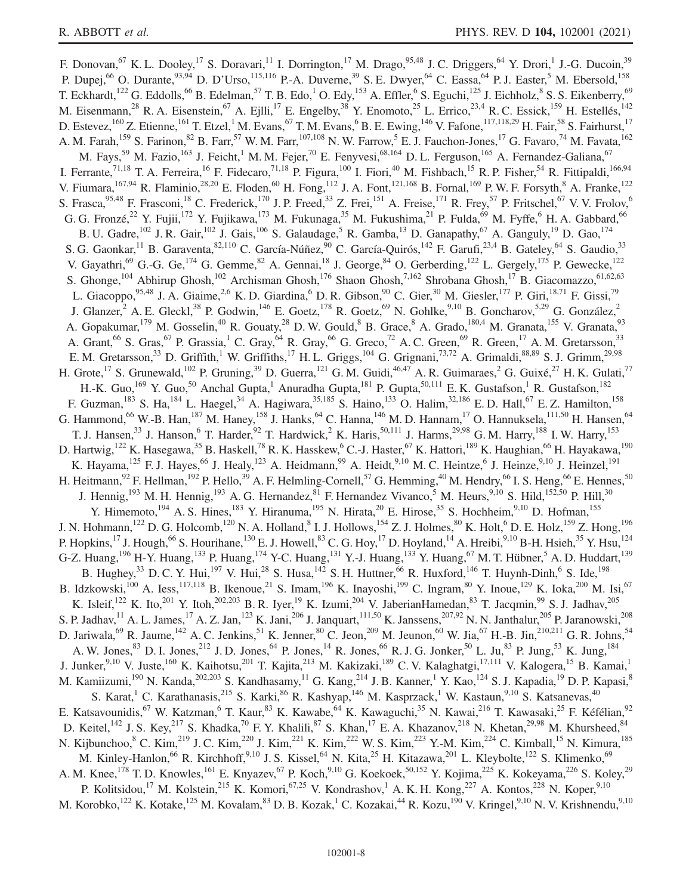F. Donovan,<sup>67</sup> K. L. Dooley,<sup>17</sup> S. Doravari,<sup>11</sup> I. Dorrington,<sup>17</sup> M. Drago,<sup>95,48</sup> J. C. Driggers,<sup>64</sup> Y. Drori,<sup>1</sup> J.-G. Ducoin,<sup>39</sup> P. Dupej,<sup>66</sup> O. Durante,<sup>93,94</sup> D. D'Urso,<sup>115,116</sup> P.-A. Duverne,<sup>39</sup> S. E. Dwyer,<sup>64</sup> C. Eassa,<sup>64</sup> P. J. Easter,<sup>5</sup> M. Ebersold,<sup>158</sup> T. Eckhardt,<sup>122</sup> G. Eddolls,<sup>66</sup> B. Edelman,<sup>57</sup> T. B. Edo,<sup>1</sup> O. Edy,<sup>153</sup> A. Effler,<sup>6</sup> S. Eguchi,<sup>125</sup> J. Eichholz,<sup>8</sup> S. S. Eikenberry,<sup>69</sup> M. Eisenmann,<sup>28</sup> R. A. Eisenstein,<sup>67</sup> A. Ejlli,<sup>17</sup> E. Engelby,<sup>38</sup> Y. Enomoto,<sup>25</sup> L. Errico,<sup>23,4</sup> R. C. Essick,<sup>159</sup> H. Estellés,<sup>142</sup> D. Estevez,  $^{160}$  Z. Etienne,  $^{161}$  T. Etzel,  $^1$  M. Evans,  $^{67}$  T. M. Evans,  $^6$  B. E. Ewing,  $^{146}$  V. Fafone,  $^{117,118,29}$  H. Fair,  $^{58}$  S. Fairhurst,  $^{17}$ A. M. Farah,  $^{159}$  S. Farinon,  $^{82}$  B. Farr,  $^{57}$  W. M. Farr,  $^{107,108}$  N. W. Farrow,  $^5$  E. J. Fauchon-Jones,  $^{17}$  G. Favaro,  $^{74}$  M. Favata,  $^{162}$ M. Fays,<sup>59</sup> M. Fazio,<sup>163</sup> J. Feicht,<sup>1</sup> M. M. Fejer,<sup>70</sup> E. Fenyvesi,<sup>68,164</sup> D. L. Ferguson,<sup>165</sup> A. Fernandez-Galiana,<sup>67</sup> I. Ferrante,<sup>71,18</sup> T. A. Ferreira,<sup>16</sup> F. Fidecaro,<sup>71,18</sup> P. Figura,<sup>100</sup> I. Fiori,<sup>40</sup> M. Fishbach,<sup>15</sup> R. P. Fisher,<sup>54</sup> R. Fittipaldi,<sup>166,94</sup> V. Fiumara,  $^{167,94}$  R. Flaminio,  $^{28,20}$  E. Floden,  $^{60}$  H. Fong,  $^{112}$  J. A. Font,  $^{121,168}$  B. Fornal,  $^{169}$  P. W. F. Forsyth,  $^8$  A. Franke,  $^{122}$ S. Frasca,  $95,48$  F. Frasconi,  $18$  C. Frederick,  $170$  J. P. Freed,  $33$  Z. Frei,  $151$  A. Freise,  $171$  R. Frey,  $57$  P. Fritschel,  $67$  V. V. Frolov,  $6$ G. G. Fronzé,<sup>22</sup> Y. Fujii,<sup>172</sup> Y. Fujikawa,<sup>173</sup> M. Fukunaga,<sup>35</sup> M. Fukushima,<sup>21</sup> P. Fulda,<sup>69</sup> M. Fyffe,<sup>6</sup> H. A. Gabbard,<sup>66</sup> B. U. Gadre,  $^{102}$  J. R. Gair,  $^{102}$  J. Gais,  $^{106}$  S. Galaudage,  $^5$  R. Gamba,  $^{13}$  D. Ganapathy,  $^{67}$  A. Ganguly,  $^{19}$  D. Gao,  $^{174}$ S. G. Gaonkar, <sup>11</sup> B. Garaventa, <sup>82,110</sup> C. García-Núñez, <sup>90</sup> C. García-Quirós, <sup>142</sup> F. Garufi, <sup>23,4</sup> B. Gateley, <sup>64</sup> S. Gaudio, <sup>33</sup> V. Gayathri,<sup>69</sup> G.-G. Ge, <sup>174</sup> G. Gemme, <sup>82</sup> A. Gennai, <sup>18</sup> J. George, <sup>84</sup> O. Gerberding, <sup>122</sup> L. Gergely, <sup>175</sup> P. Gewecke, <sup>122</sup> S. Ghonge,<sup>104</sup> Abhirup Ghosh,<sup>102</sup> Archisman Ghosh,<sup>176</sup> Shaon Ghosh,<sup>7,162</sup> Shrobana Ghosh,<sup>17</sup> B. Giacomazzo,<sup>61,62,63</sup> L. Giacoppo,  $95,48$  J. A. Giaime,  $2,6$  K. D. Giardina,  $6$  D. R. Gibson,  $90$  C. Gier,  $30$  M. Giesler,  $177$  P. Giri,  $18,71$  F. Gissi,  $79$ J. Glanzer,<sup>2</sup> A. E. Gleckl,<sup>38</sup> P. Godwin,<sup>146</sup> E. Goetz,<sup>178</sup> R. Goetz,<sup>69</sup> N. Gohlke,<sup>9,10</sup> B. Goncharov,<sup>5,29</sup> G. González,<sup>2</sup> A. Gopakumar,<sup>179</sup> M. Gosselin,<sup>40</sup> R. Gouaty,<sup>28</sup> D. W. Gould,<sup>8</sup> B. Grace,<sup>8</sup> A. Grado,<sup>180,4</sup> M. Granata,<sup>155</sup> V. Granata,<sup>93</sup> A. Grant,  $^{66}$  S. Gras,  $^{67}$  P. Grassia,  $^{1}$  C. Gray,  $^{64}$  R. Gray,  $^{66}$  G. Greco,  $^{72}$  A. C. Green,  $^{69}$  R. Green,  $^{17}$  A. M. Gretarsson,  $^{33}$ E. M. Gretarsson,<sup>33</sup> D. Griffith,<sup>1</sup> W. Griffiths,<sup>17</sup> H. L. Griggs,<sup>104</sup> G. Grignani,<sup>73,72</sup> A. Grimaldi,<sup>88,89</sup> S. J. Grimm,<sup>29,98</sup> H. Grote,  $^{17}$  S. Grunewald,  $^{102}$  P. Gruning,  $^{39}$  D. Guerra,  $^{121}$  G. M. Guidi,  $^{46,47}$  A. R. Guimaraes,  $^{2}$  G. Guixé,  $^{27}$  H. K. Gulati,  $^{77}$ H.-K. Guo,<sup>169</sup> Y. Guo,<sup>50</sup> Anchal Gupta,<sup>1</sup> Anuradha Gupta,<sup>181</sup> P. Gupta,<sup>50,111</sup> E.K. Gustafson,<sup>1</sup> R. Gustafson,<sup>182</sup> F. Guzman,  $^{183}$  S. Ha,  $^{184}$  L. Haegel,  $^{34}$  A. Hagiwara,  $^{35,185}$  S. Haino,  $^{133}$  O. Halim,  $^{32,186}$  E. D. Hall,  $^{67}$  E. Z. Hamilton,  $^{158}$ G. Hammond,  $^{66}$  W.-B. Han,  $^{187}$  M. Haney,  $^{158}$  J. Hanks,  $^{64}$  C. Hanna,  $^{146}$  M. D. Hannam,  $^{17}$  O. Hannuksela,  $^{111,50}$  H. Hansen,  $^{64}$ T. J. Hansen,<sup>33</sup> J. Hanson,<sup>6</sup> T. Harder,<sup>92</sup> T. Hardwick,<sup>2</sup> K. Haris,<sup>50,111</sup> J. Harms,<sup>29,98</sup> G. M. Harry,<sup>188</sup> I. W. Harry,<sup>153</sup> D. Hartwig,<sup>122</sup> K. Hasegawa,<sup>35</sup> B. Haskell,<sup>78</sup> R. K. Hasskew,<sup>6</sup> C.-J. Haster,<sup>67</sup> K. Hattori,<sup>189</sup> K. Haughian,<sup>66</sup> H. Hayakawa,<sup>190</sup> K. Hayama,<sup>125</sup> F. J. Hayes,<sup>66</sup> J. Healy,<sup>123</sup> A. Heidmann,<sup>99</sup> A. Heidt,<sup>9,10</sup> M. C. Heintze,<sup>6</sup> J. Heinze,<sup>9,10</sup> J. Heinzel,<sup>191</sup> H. Heitmann,  $92$  F. Hellman,  $192$  P. Hello,  $39$  A. F. Helmling-Cornell,  $57$  G. Hemming,  $40$  M. Hendry,  $66$  I. S. Heng,  $66$  E. Hennes,  $50$ J. Hennig,<sup>193</sup> M. H. Hennig,<sup>193</sup> A. G. Hernandez,<sup>81</sup> F. Hernandez Vivanco, M. Heurs,<sup>9,10</sup> S. Hild,<sup>152,50</sup> P. Hill,<sup>30</sup> Y. Himemoto,<sup>194</sup> A. S. Hines,<sup>183</sup> Y. Hiranuma,<sup>195</sup> N. Hirata,<sup>20</sup> E. Hirose,<sup>35</sup> S. Hochheim,<sup>9,10</sup> D. Hofman,<sup>155</sup> J. N. Hohmann,<sup>122</sup> D. G. Holcomb,<sup>120</sup> N. A. Holland,<sup>8</sup> I. J. Hollows,<sup>154</sup> Z. J. Holmes,<sup>80</sup> K. Holt,<sup>6</sup> D. E. Holz,<sup>159</sup> Z. Hong,<sup>196</sup> P. Hopkins,<sup>17</sup> J. Hough,<sup>66</sup> S. Hourihane,<sup>130</sup> E. J. Howell,<sup>83</sup> C. G. Hoy,<sup>17</sup> D. Hoyland,<sup>14</sup> A. Hreibi,<sup>9,10</sup> B-H. Hsieh,<sup>35</sup> Y. Hsu,<sup>124</sup> G-Z. Huang, <sup>196</sup> H-Y. Huang, <sup>133</sup> P. Huang, <sup>174</sup> Y-C. Huang, <sup>131</sup> Y.-J. Huang, <sup>133</sup> Y. Huang, <sup>67</sup> M. T. Hübner, <sup>5</sup> A. D. Huddart, <sup>139</sup> B. Hughey,  $33$  D. C. Y. Hui,  $197$  V. Hui,  $28$  S. Husa,  $142$  S. H. Huttner,  $66$  R. Huxford,  $146$  T. Huynh-Dinh,  $6$  S. Ide,  $198$ B. Idzkowski,<sup>100</sup> A. Iess,<sup>117,118</sup> B. Ikenoue,<sup>21</sup> S. Imam,<sup>196</sup> K. Inayoshi,<sup>199</sup> C. Ingram,<sup>80</sup> Y. Inoue,<sup>129</sup> K. Ioka,<sup>200</sup> M. Isi,<sup>67</sup> K. Isleif,<sup>122</sup> K. Ito,<sup>201</sup> Y. Itoh,<sup>202,203</sup> B. R. Iyer,<sup>19</sup> K. Izumi,<sup>204</sup> V. JaberianHamedan,<sup>83</sup> T. Jacqmin,<sup>99</sup> S. J. Jadhav,<sup>205</sup> S. P. Jadhav, <sup>11</sup> A. L. James, <sup>17</sup> A. Z. Jan, <sup>123</sup> K. Jani, <sup>206</sup> J. Janquart, <sup>111,50</sup> K. Janssens, <sup>207,92</sup> N. N. Janthalur, <sup>205</sup> P. Jaranowski, <sup>208</sup> D. Jariwala,<sup>69</sup> R. Jaume,<sup>142</sup> A. C. Jenkins,<sup>51</sup> K. Jenner,<sup>80</sup> C. Jeon,<sup>209</sup> M. Jeunon,<sup>60</sup> W. Jia,<sup>67</sup> H.-B. Jin,<sup>210,211</sup> G. R. Johns,<sup>54</sup> A. W. Jones,  $83$  D. I. Jones,  $212$  J. D. Jones,  $64$  P. Jones,  $14$  R. Jones,  $66$  R. J. G. Jonker,  $50$  L. Ju,  $83$  P. Jung,  $53$  K. Jung,  $184$ J. Junker,<sup>9,10</sup> V. Juste,<sup>160</sup> K. Kaihotsu,<sup>201</sup> T. Kajita,<sup>213</sup> M. Kakizaki,<sup>189</sup> C. V. Kalaghatgi,<sup>17,111</sup> V. Kalogera,<sup>15</sup> B. Kamai,<sup>1</sup> M. Kamiizumi,<sup>190</sup> N. Kanda,<sup>202,203</sup> S. Kandhasamy,<sup>11</sup> G. Kang,<sup>214</sup> J. B. Kanner,<sup>1</sup> Y. Kao,<sup>124</sup> S. J. Kapadia,<sup>19</sup> D. P. Kapasi,<sup>8</sup> S. Karat,<sup>1</sup> C. Karathanasis,<sup>215</sup> S. Karki,<sup>86</sup> R. Kashyap,<sup>146</sup> M. Kasprzack,<sup>1</sup> W. Kastaun,<sup>9,10</sup> S. Katsanevas,<sup>40</sup> E. Katsavounidis,<sup>67</sup> W. Katzman,<sup>6</sup> T. Kaur,<sup>83</sup> K. Kawabe,<sup>64</sup> K. Kawaguchi,<sup>35</sup> N. Kawai,<sup>216</sup> T. Kawasaki,<sup>25</sup> F. Kéfélian,<sup>92</sup> D. Keitel,<sup>142</sup> J. S. Key,<sup>217</sup> S. Khadka,<sup>70</sup> F. Y. Khalili,<sup>87</sup> S. Khan,<sup>17</sup> E. A. Khazanov,<sup>218</sup> N. Khetan,<sup>29,98</sup> M. Khursheed,<sup>84</sup> N. Kijbunchoo,<sup>8</sup> C. Kim,<sup>219</sup> J. C. Kim,<sup>220</sup> J. Kim,<sup>221</sup> K. Kim,<sup>222</sup> W. S. Kim,<sup>223</sup> Y.-M. Kim,<sup>224</sup> C. Kimball,<sup>15</sup> N. Kimura,<sup>185</sup> M. Kinley-Hanlon, <sup>66</sup> R. Kirchhoff, <sup>9,10</sup> J. S. Kissel, <sup>64</sup> N. Kita, <sup>25</sup> H. Kitazawa, <sup>201</sup> L. Kleybolte, <sup>122</sup> S. Klimenko, <sup>69</sup> A. M. Knee,<sup>178</sup> T. D. Knowles,<sup>161</sup> E. Knyazev,<sup>67</sup> P. Koch,<sup>9,10</sup> G. Koekoek,<sup>50,152</sup> Y. Kojima,<sup>225</sup> K. Kokeyama,<sup>226</sup> S. Koley,<sup>29</sup> P. Kolitsidou,<sup>17</sup> M. Kolstein,<sup>215</sup> K. Komori,<sup>67,25</sup> V. Kondrashov,<sup>1</sup> A. K. H. Kong,<sup>227</sup> A. Kontos,<sup>228</sup> N. Koper,<sup>9,10</sup> M. Korobko,<sup>122</sup> K. Kotake,<sup>125</sup> M. Kovalam,<sup>83</sup> D. B. Kozak,<sup>1</sup> C. Kozakai,<sup>44</sup> R. Kozu,<sup>190</sup> V. Kringel,<sup>9,10</sup> N. V. Krishnendu,<sup>9,10</sup>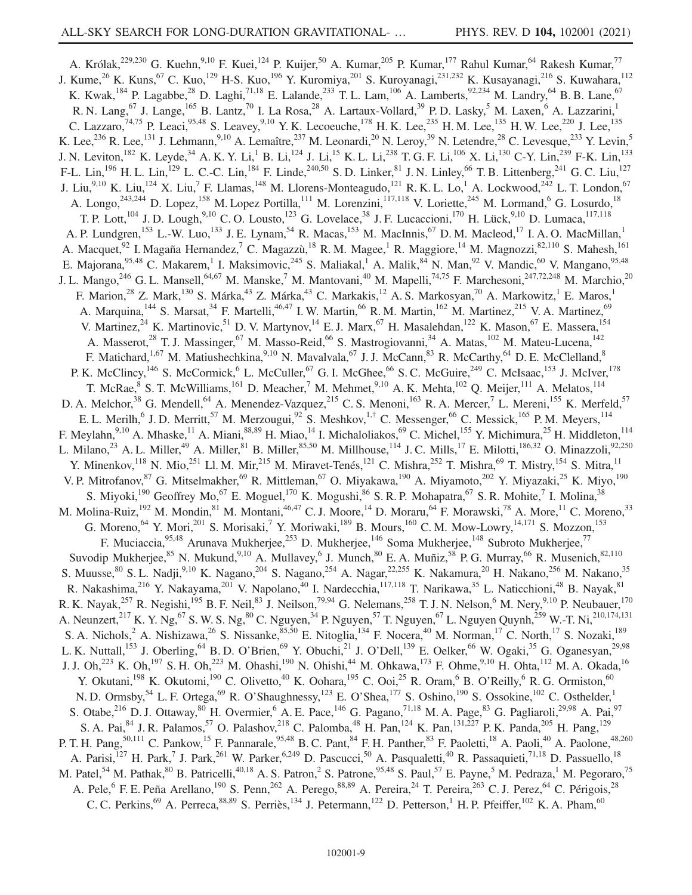<span id="page-8-0"></span>A. Królak,<sup>229,230</sup> G. Kuehn,<sup>9,10</sup> F. Kuei,<sup>124</sup> P. Kuijer,<sup>50</sup> A. Kumar,<sup>205</sup> P. Kumar,<sup>177</sup> Rahul Kumar,<sup>64</sup> Rakesh Kumar,<sup>77</sup> J. Kume,<sup>26</sup> K. Kuns,<sup>67</sup> C. Kuo,<sup>129</sup> H-S. Kuo,<sup>196</sup> Y. Kuromiya,<sup>201</sup> S. Kuroyanagi,<sup>231,232</sup> K. Kusayanagi,<sup>216</sup> S. Kuwahara,<sup>112</sup> K. Kwak,<sup>184</sup> P. Lagabbe,<sup>28</sup> D. Laghi,<sup>71,18</sup> E. Lalande,<sup>233</sup> T. L. Lam,<sup>106</sup> A. Lamberts,<sup>92,234</sup> M. Landry,<sup>64</sup> B. B. Lane,<sup>67</sup> R. N. Lang,<sup>67</sup> J. Lange,<sup>165</sup> B. Lantz,<sup>70</sup> I. La Rosa,<sup>28</sup> A. Lartaux-Vollard,<sup>39</sup> P. D. Lasky,<sup>5</sup> M. Laxen,<sup>6</sup> A. Lazzarini,<sup>1</sup> C. Lazzaro,<sup>74,75</sup> P. Leaci,<sup>95,48</sup> S. Leavey,<sup>9,10</sup> Y. K. Lecoeuche,<sup>178</sup> H. K. Lee,<sup>235</sup> H. M. Lee,<sup>135</sup> H. W. Lee,<sup>220</sup> J. Lee,<sup>135</sup> K. Lee,<sup>236</sup> R. Lee,<sup>131</sup> J. Lehmann,<sup>9,10</sup> A. Lemaître,<sup>237</sup> M. Leonardi,<sup>20</sup> N. Leroy,<sup>39</sup> N. Letendre,<sup>28</sup> C. Levesque,<sup>233</sup> Y. Levin,<sup>5</sup> J. N. Leviton,<sup>182</sup> K. Leyde,<sup>34</sup> A. K. Y. Li,<sup>1</sup> B. Li,<sup>124</sup> J. Li,<sup>15</sup> K. L. Li,<sup>238</sup> T. G. F. Li,<sup>106</sup> X. Li,<sup>130</sup> C-Y. Lin,<sup>239</sup> F-K. Lin,<sup>133</sup> F-L. Lin,<sup>196</sup> H. L. Lin,<sup>129</sup> L. C.-C. Lin,<sup>184</sup> F. Linde,<sup>240,50</sup> S. D. Linker,<sup>81</sup> J. N. Linley,<sup>66</sup> T. B. Littenberg,<sup>241</sup> G. C. Liu,<sup>127</sup> J. Liu, $^{9,10}$  K. Liu, $^{124}$  X. Liu, $^7$  F. Llamas, $^{148}$  M. Llorens-Monteagudo, $^{121}$  R. K. L. Lo, $^1$  A. Lockwood, $^{242}$  L. T. London, $^{67}$ A. Longo,<sup>243,244</sup> D. Lopez,<sup>158</sup> M. Lopez Portilla,<sup>111</sup> M. Lorenzini,<sup>117,118</sup> V. Loriette,<sup>245</sup> M. Lormand,<sup>6</sup> G. Losurdo,<sup>18</sup> T. P. Lott,<sup>104</sup> J. D. Lough,<sup>9,10</sup> C. O. Lousto,<sup>123</sup> G. Lovelace,<sup>38</sup> J. F. Lucaccioni,<sup>170</sup> H. Lück,<sup>9,10</sup> D. Lumaca,<sup>117,118</sup> A. P. Lundgren,<sup>153</sup> L.-W. Luo,<sup>133</sup> J. E. Lynam,<sup>54</sup> R. Macas,<sup>153</sup> M. MacInnis,<sup>67</sup> D. M. Macleod,<sup>17</sup> I. A. O. MacMillan,<sup>1</sup> A. Macquet,<sup>92</sup> I. Magaña Hernandez,<sup>7</sup> C. Magazzù,<sup>18</sup> R. M. Magee,<sup>1</sup> R. Maggiore,<sup>14</sup> M. Magnozzi,<sup>82,110</sup> S. Mahesh,<sup>161</sup> E. Majorana, <sup>95,48</sup> C. Makarem,<sup>1</sup> I. Maksimovic, <sup>245</sup> S. Maliakal,<sup>1</sup> A. Malik, <sup>84</sup> N. Man, <sup>92</sup> V. Mandic, <sup>60</sup> V. Mangano, <sup>95,48</sup> J. L. Mango,<sup>246</sup> G. L. Mansell,<sup>64,67</sup> M. Manske,<sup>7</sup> M. Mantovani,<sup>40</sup> M. Mapelli,<sup>74,75</sup> F. Marchesoni,<sup>247,72,248</sup> M. Marchio,<sup>20</sup> F. Marion,<sup>28</sup> Z. Mark,<sup>130</sup> S. Márka,<sup>43</sup> Z. Márka,<sup>43</sup> C. Markakis,<sup>12</sup> A. S. Markosyan,<sup>70</sup> A. Markowitz,<sup>1</sup> E. Maros,<sup>1</sup> A. Marquina,<sup>144</sup> S. Marsat,<sup>34</sup> F. Martelli,<sup>46,47</sup> I. W. Martin,<sup>66</sup> R. M. Martin,<sup>162</sup> M. Martinez,<sup>215</sup> V. A. Martinez,<sup>69</sup> V. Martinez,<sup>24</sup> K. Martinovic,<sup>51</sup> D. V. Martynov,<sup>14</sup> E. J. Marx,<sup>67</sup> H. Masalehdan,<sup>122</sup> K. Mason,<sup>67</sup> E. Massera,<sup>154</sup> A. Masserot,<sup>28</sup> T. J. Massinger,<sup>67</sup> M. Masso-Reid,<sup>66</sup> S. Mastrogiovanni,<sup>34</sup> A. Matas,<sup>102</sup> M. Mateu-Lucena,<sup>142</sup> F. Matichard,<sup>1,67</sup> M. Matiushechkina,<sup>9,10</sup> N. Mavalvala,<sup>67</sup> J. J. McCann,<sup>83</sup> R. McCarthy,<sup>64</sup> D. E. McClelland,<sup>8</sup> P. K. McClincy,<sup>146</sup> S. McCormick,<sup>6</sup> L. McCuller,<sup>67</sup> G. I. McGhee,<sup>66</sup> S. C. McGuire,<sup>249</sup> C. McIsaac,<sup>153</sup> J. McIver,<sup>178</sup> T. McRae, S. T. McWilliams,<sup>161</sup> D. Meacher,<sup>7</sup> M. Mehmet,<sup>9,10</sup> A. K. Mehta,<sup>102</sup> Q. Meijer,<sup>111</sup> A. Melatos,<sup>114</sup> D. A. Melchor,<sup>38</sup> G. Mendell,<sup>64</sup> A. Menendez-Vazquez,<sup>215</sup> C. S. Menoni,<sup>163</sup> R. A. Mercer,<sup>7</sup> L. Mereni,<sup>155</sup> K. Merfeld,<sup>57</sup> E. L. Merilh,<sup>6</sup> J. D. Merritt,<sup>57</sup> M. Merzougui,<sup>92</sup> S. Meshkov,<sup>1,[†](#page-16-0)</sup> C. Messenger,<sup>66</sup> C. Messick,<sup>165</sup> P. M. Meyers,<sup>114</sup> F. Meylahn,  $9,10$  A. Mhaske,  $^{11}$  A. Miani,  $88,89$  H. Miao,  $^{14}$  I. Michaloliakos,  $^{69}$  C. Michel,  $^{155}$  Y. Michimura,  $^{25}$  H. Middleton,  $^{114}$ L. Milano,<sup>23</sup> A. L. Miller,<sup>49</sup> A. Miller,<sup>81</sup> B. Miller,<sup>85,50</sup> M. Millhouse,<sup>114</sup> J. C. Mills,<sup>17</sup> E. Milotti,<sup>186,32</sup> O. Minazzoli,<sup>92,250</sup> Y. Minenkov,<sup>118</sup> N. Mio,<sup>251</sup> Ll. M. Mir,<sup>215</sup> M. Miravet-Tenés,<sup>121</sup> C. Mishra,<sup>252</sup> T. Mishra,<sup>69</sup> T. Mistry,<sup>154</sup> S. Mitra,<sup>11</sup> V. P. Mitrofanov, <sup>87</sup> G. Mitselmakher, <sup>69</sup> R. Mittleman, <sup>67</sup> O. Miyakawa, <sup>190</sup> A. Miyamoto, <sup>202</sup> Y. Miyazaki, <sup>25</sup> K. Miyo, <sup>190</sup> S. Miyoki,<sup>190</sup> Geoffrey Mo,<sup>67</sup> E. Moguel,<sup>170</sup> K. Mogushi,<sup>86</sup> S. R. P. Mohapatra,<sup>67</sup> S. R. Mohite,<sup>7</sup> I. Molina,<sup>38</sup> M. Molina-Ruiz,<sup>192</sup> M. Mondin,<sup>81</sup> M. Montani,<sup>46,47</sup> C. J. Moore,<sup>14</sup> D. Moraru,<sup>64</sup> F. Morawski,<sup>78</sup> A. More,<sup>11</sup> C. Moreno,<sup>33</sup> G. Moreno,  $^{64}$  Y. Mori,  $^{201}$  S. Morisaki,  $^7$  Y. Moriwaki,  $^{189}$  B. Mours,  $^{160}$  C. M. Mow-Lowry,  $^{14,171}$  S. Mozzon,  $^{153}$ F. Muciaccia,<sup>95,48</sup> Arunava Mukherjee,<sup>253</sup> D. Mukherjee,<sup>146</sup> Soma Mukherjee,<sup>148</sup> Subroto Mukherjee,<sup>77</sup> Suvodip Mukherjee,<sup>85</sup> N. Mukund,<sup>9,10</sup> A. Mullavey,<sup>6</sup> J. Munch,<sup>80</sup> E. A. Muñiz,<sup>58</sup> P. G. Murray,<sup>66</sup> R. Musenich,<sup>82,110</sup> S. Muusse, <sup>80</sup> S. L. Nadji, <sup>9,10</sup> K. Nagano, <sup>204</sup> S. Nagano, <sup>254</sup> A. Nagar, <sup>22,255</sup> K. Nakamura, <sup>20</sup> H. Nakano, <sup>256</sup> M. Nakano,<sup>35</sup> R. Nakashima,<sup>216</sup> Y. Nakayama,<sup>201</sup> V. Napolano,<sup>40</sup> I. Nardecchia,<sup>117,118</sup> T. Narikawa,<sup>35</sup> L. Naticchioni,<sup>48</sup> B. Nayak,<sup>81</sup> R. K. Nayak,<sup>257</sup> R. Negishi,<sup>195</sup> B. F. Neil,<sup>83</sup> J. Neilson,<sup>79,94</sup> G. Nelemans,<sup>258</sup> T. J. N. Nelson,<sup>6</sup> M. Nery,<sup>9,10</sup> P. Neubauer,<sup>170</sup> A. Neunzert,<sup>217</sup> K. Y. Ng,<sup>67</sup> S. W. S. Ng,<sup>80</sup> C. Nguyen,<sup>34</sup> P. Nguyen,<sup>57</sup> T. Nguyen,<sup>67</sup> L. Nguyen Quynh,<sup>259</sup> W.-T. Ni,<sup>210,174,131</sup> S. A. Nichols,<sup>2</sup> A. Nishizawa,<sup>26</sup> S. Nissanke,<sup>85,50</sup> E. Nitoglia,<sup>134</sup> F. Nocera,<sup>40</sup> M. Norman,<sup>17</sup> C. North,<sup>17</sup> S. Nozaki,<sup>189</sup> L. K. Nuttall,<sup>153</sup> J. Oberling,<sup>64</sup> B. D. O'Brien,<sup>69</sup> Y. Obuchi,<sup>21</sup> J. O'Dell,<sup>139</sup> E. Oelker,<sup>66</sup> W. Ogaki,<sup>35</sup> G. Oganesyan,<sup>29,98</sup> J. J. Oh,<sup>223</sup> K. Oh,<sup>197</sup> S. H. Oh,<sup>223</sup> M. Ohashi,<sup>190</sup> N. Ohishi,<sup>44</sup> M. Ohkawa,<sup>173</sup> F. Ohme,<sup>9,10</sup> H. Ohta,<sup>112</sup> M. A. Okada,<sup>16</sup> Y. Okutani,<sup>198</sup> K. Okutomi,<sup>190</sup> C. Olivetto,<sup>40</sup> K. Oohara,<sup>195</sup> C. Ooi,<sup>25</sup> R. Oram,<sup>6</sup> B. O'Reilly,<sup>6</sup> R. G. Ormiston,<sup>60</sup> N. D. Ormsby,<sup>54</sup> L. F. Ortega,<sup>69</sup> R. O'Shaughnessy,<sup>123</sup> E. O'Shea,<sup>177</sup> S. Oshino,<sup>190</sup> S. Ossokine,<sup>102</sup> C. Osthelder,<sup>1</sup> S. Otabe,<sup>216</sup> D. J. Ottaway,<sup>80</sup> H. Overmier,<sup>6</sup> A. E. Pace,<sup>146</sup> G. Pagano,<sup>71,18</sup> M. A. Page,<sup>83</sup> G. Pagliaroli,<sup>29,98</sup> A. Pai,<sup>97</sup> S. A. Pai,  $84$  J. R. Palamos,  $57$  O. Palashov,  $218$  C. Palomba,  $48$  H. Pan,  $124$  K. Pan,  $131,227$  P. K. Panda,  $205$  H. Pang,  $129$ P. T. H. Pang,<sup>50,111</sup> C. Pankow,<sup>15</sup> F. Pannarale,<sup>95,48</sup> B. C. Pant,<sup>84</sup> F. H. Panther,<sup>83</sup> F. Paoletti,<sup>18</sup> A. Paoli,<sup>40</sup> A. Paolone,<sup>48,260</sup> A. Parisi,<sup>127</sup> H. Park,<sup>7</sup> J. Park,<sup>261</sup> W. Parker,<sup>6,249</sup> D. Pascucci,<sup>50</sup> A. Pasqualetti,<sup>40</sup> R. Passaquieti,<sup>71,18</sup> D. Passuello,<sup>18</sup> M. Patel,<sup>54</sup> M. Pathak,<sup>80</sup> B. Patricelli,<sup>40,18</sup> A. S. Patron,<sup>2</sup> S. Patrone,<sup>95,48</sup> S. Paul,<sup>57</sup> E. Payne,<sup>5</sup> M. Pedraza,<sup>1</sup> M. Pegoraro,<sup>75</sup> A. Pele, <sup>6</sup> F. E. Peña Arellano, <sup>190</sup> S. Penn, <sup>262</sup> A. Perego, <sup>88,89</sup> A. Pereira, <sup>24</sup> T. Pereira, <sup>263</sup> C. J. Perez, <sup>64</sup> C. Périgois, <sup>28</sup> C. C. Perkins,  $^{69}$  A. Perreca,  $^{88,89}$  S. Perriès,  $^{134}$  J. Petermann,  $^{122}$  D. Petterson,  $^{1}$  H. P. Pfeiffer,  $^{102}$  K. A. Pham,  $^{60}$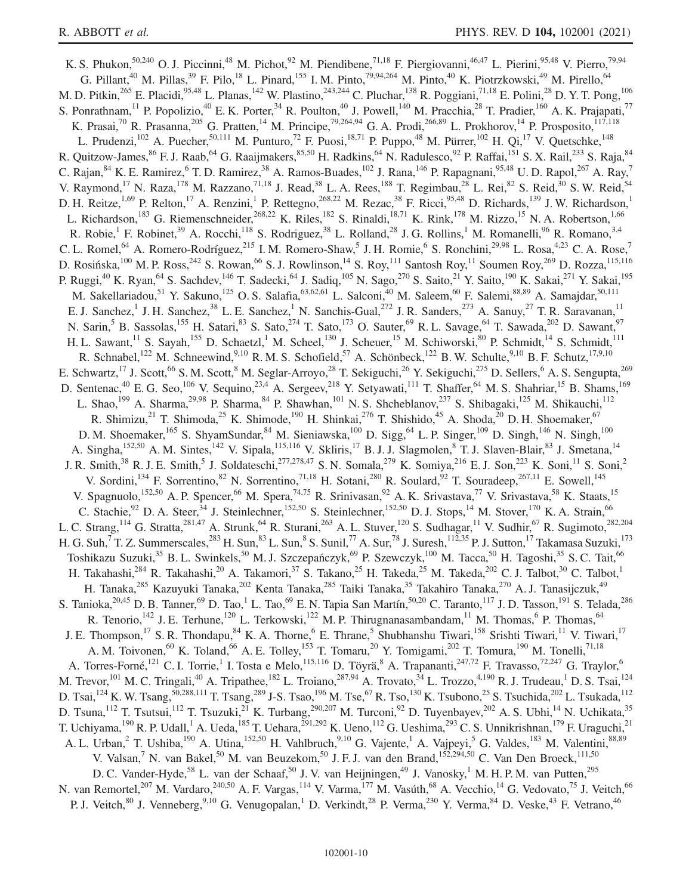K. S. Phukon,<sup>50,240</sup> O. J. Piccinni,<sup>48</sup> M. Pichot,<sup>92</sup> M. Piendibene,<sup>71,18</sup> F. Piergiovanni,<sup>46,47</sup> L. Pierini,<sup>95,48</sup> V. Pierro,<sup>79,94</sup> G. Pillant,<sup>40</sup> M. Pillas,<sup>39</sup> F. Pilo,<sup>18</sup> L. Pinard,<sup>155</sup> I. M. Pinto,<sup>79,94,264</sup> M. Pinto,<sup>40</sup> K. Piotrzkowski,<sup>49</sup> M. Pirello,<sup>64</sup> M. D. Pitkin,<sup>265</sup> E. Placidi,<sup>95,48</sup> L. Planas,<sup>142</sup> W. Plastino,<sup>243,244</sup> C. Pluchar,<sup>138</sup> R. Poggiani,<sup>71,18</sup> E. Polini,<sup>28</sup> D. Y. T. Pong,<sup>106</sup> S. Ponrathnam,<sup>11</sup> P. Popolizio,<sup>40</sup> E. K. Porter,<sup>34</sup> R. Poulton,<sup>40</sup> J. Powell,<sup>140</sup> M. Pracchia,<sup>28</sup> T. Pradier,<sup>160</sup> A. K. Prajapati,<sup>77</sup> K. Prasai,<sup>70</sup> R. Prasanna,<sup>205</sup> G. Pratten,<sup>14</sup> M. Principe,<sup>79,264,94</sup> G. A. Prodi,<sup>266,89</sup> L. Prokhorov,<sup>14</sup> P. Prosposito,<sup>117,118</sup> L. Prudenzi,<sup>102</sup> A. Puecher,<sup>50,111</sup> M. Punturo,<sup>72</sup> F. Puosi,<sup>18,71</sup> P. Puppo,<sup>48</sup> M. Pürrer,<sup>102</sup> H. Qi,<sup>17</sup> V. Quetschke,<sup>148</sup> R. Quitzow-James, <sup>86</sup> F. J. Raab, <sup>64</sup> G. Raaijmakers, <sup>85,50</sup> H. Radkins, <sup>64</sup> N. Radulesco, <sup>92</sup> P. Raffai, <sup>151</sup> S. X. Rail, <sup>233</sup> S. Raja, <sup>84</sup> C. Rajan,<sup>84</sup> K. E. Ramirez,<sup>6</sup> T. D. Ramirez,<sup>38</sup> A. Ramos-Buades,<sup>102</sup> J. Rana,<sup>146</sup> P. Rapagnani,<sup>95,48</sup> U. D. Rapol,<sup>267</sup> A. Ray,<sup>7</sup> V. Raymond,<sup>17</sup> N. Raza,<sup>178</sup> M. Razzano,<sup>71,18</sup> J. Read,<sup>38</sup> L. A. Rees,<sup>188</sup> T. Regimbau,<sup>28</sup> L. Rei,<sup>82</sup> S. Reid,<sup>30</sup> S. W. Reid,<sup>54</sup> D. H. Reitze,<sup>1,69</sup> P. Relton,<sup>17</sup> A. Renzini,<sup>1</sup> P. Rettegno,<sup>268,22</sup> M. Rezac,<sup>38</sup> F. Ricci,<sup>95,48</sup> D. Richards,<sup>139</sup> J. W. Richardson,<sup>1</sup> L. Richardson,<sup>183</sup> G. Riemenschneider,<sup>268,22</sup> K. Riles,<sup>182</sup> S. Rinaldi,<sup>18,71</sup> K. Rink,<sup>178</sup> M. Rizzo,<sup>15</sup> N. A. Robertson,<sup>1,66</sup> R. Robie,<sup>1</sup> F. Robinet,<sup>39</sup> A. Rocchi,<sup>118</sup> S. Rodriguez,<sup>38</sup> L. Rolland,<sup>28</sup> J. G. Rollins,<sup>1</sup> M. Romanelli,<sup>96</sup> R. Romano,<sup>3,4</sup> C. L. Romel,<sup>64</sup> A. Romero-Rodríguez,<sup>215</sup> I. M. Romero-Shaw,<sup>5</sup> J. H. Romie,<sup>6</sup> S. Ronchini,<sup>29,98</sup> L. Rosa,<sup>4,23</sup> C. A. Rose,<sup>7</sup> D. Rosińska,<sup>100</sup> M. P. Ross,<sup>242</sup> S. Rowan,<sup>66</sup> S. J. Rowlinson,<sup>14</sup> S. Roy,<sup>11</sup> Santosh Roy,<sup>11</sup> Soumen Roy,<sup>269</sup> D. Rozza,<sup>115,116</sup> P. Ruggi,<sup>40</sup> K. Ryan,<sup>64</sup> S. Sachdev,<sup>146</sup> T. Sadecki,<sup>64</sup> J. Sadiq,<sup>105</sup> N. Sago,<sup>270</sup> S. Saito,<sup>21</sup> Y. Saito,<sup>190</sup> K. Sakai,<sup>271</sup> Y. Sakai,<sup>195</sup> M. Sakellariadou,<sup>51</sup> Y. Sakuno,<sup>125</sup> O. S. Salafia,<sup>63,62,61</sup> L. Salconi,<sup>40</sup> M. Saleem,<sup>60</sup> F. Salemi,<sup>88,89</sup> A. Samajdar,<sup>50,111</sup> E. J. Sanchez,<sup>1</sup> J. H. Sanchez,<sup>38</sup> L. E. Sanchez,<sup>1</sup> N. Sanchis-Gual,<sup>272</sup> J. R. Sanders,<sup>273</sup> A. Sanuy,<sup>27</sup> T. R. Saravanan,<sup>11</sup> N. Sarin,<sup>5</sup> B. Sassolas,<sup>155</sup> H. Satari,<sup>83</sup> S. Sato,<sup>274</sup> T. Sato,<sup>173</sup> O. Sauter,<sup>69</sup> R. L. Savage,<sup>64</sup> T. Sawada,<sup>202</sup> D. Sawant,<sup>97</sup> H. L. Sawant, <sup>11</sup> S. Sayah, <sup>155</sup> D. Schaetzl, <sup>1</sup> M. Scheel, <sup>130</sup> J. Scheuer, <sup>15</sup> M. Schiworski, <sup>80</sup> P. Schmidt, <sup>14</sup> S. Schmidt, <sup>111</sup> R. Schnabel,<sup>122</sup> M. Schneewind,<sup>9,10</sup> R. M. S. Schofield,<sup>57</sup> A. Schönbeck,<sup>122</sup> B. W. Schulte,<sup>9,10</sup> B. F. Schutz,<sup>17,9,10</sup> E. Schwartz,<sup>17</sup> J. Scott,<sup>66</sup> S. M. Scott,<sup>8</sup> M. Seglar-Arroyo,<sup>28</sup> T. Sekiguchi,<sup>26</sup> Y. Sekiguchi,<sup>275</sup> D. Sellers,<sup>6</sup> A. S. Sengupta,<sup>269</sup> D. Sentenac,<sup>40</sup> E. G. Seo,<sup>106</sup> V. Sequino,<sup>23,4</sup> A. Sergeev,<sup>218</sup> Y. Setyawati,<sup>111</sup> T. Shaffer,<sup>64</sup> M. S. Shahriar,<sup>15</sup> B. Shams,<sup>169</sup> L. Shao,<sup>199</sup> A. Sharma,<sup>29,98</sup> P. Sharma,<sup>84</sup> P. Shawhan,<sup>101</sup> N. S. Shcheblanov,<sup>237</sup> S. Shibagaki,<sup>125</sup> M. Shikauchi,<sup>112</sup> R. Shimizu,<sup>21</sup> T. Shimoda,<sup>25</sup> K. Shimode,<sup>190</sup> H. Shinkai,<sup>276</sup> T. Shishido,<sup>45</sup> A. Shoda,<sup>20</sup> D. H. Shoemaker,<sup>67</sup> D. M. Shoemaker, <sup>165</sup> S. ShyamSundar, <sup>84</sup> M. Sieniawska, <sup>100</sup> D. Sigg, <sup>64</sup> L. P. Singer, <sup>109</sup> D. Singh, <sup>146</sup> N. Singh, <sup>100</sup> A. Singha,<sup>152,50</sup> A. M. Sintes,<sup>142</sup> V. Sipala,<sup>115,116</sup> V. Skliris,<sup>17</sup> B. J. J. Slagmolen,<sup>8</sup> T. J. Slaven-Blair,<sup>83</sup> J. Smetana,<sup>14</sup> J. R. Smith,<sup>38</sup> R. J. E. Smith,<sup>5</sup> J. Soldateschi,<sup>277,278,47</sup> S. N. Somala,<sup>279</sup> K. Somiya,<sup>216</sup> E. J. Son,<sup>223</sup> K. Soni,<sup>11</sup> S. Soni,<sup>2</sup> V. Sordini,<sup>134</sup> F. Sorrentino,<sup>82</sup> N. Sorrentino,<sup>71,18</sup> H. Sotani,<sup>280</sup> R. Soulard,<sup>92</sup> T. Souradeep,<sup>267,11</sup> E. Sowell,<sup>145</sup> V. Spagnuolo,<sup>152,50</sup> A. P. Spencer,<sup>66</sup> M. Spera,<sup>74,75</sup> R. Srinivasan,<sup>92</sup> A. K. Srivastava,<sup>77</sup> V. Srivastava,<sup>58</sup> K. Staats,<sup>15</sup> C. Stachie,  $92$  D. A. Steer,  $34$  J. Steinlechner,  $152,50$  S. Steinlechner,  $152,50$  D. J. Stops,  $14$  M. Stover,  $170$  K. A. Strain,  $66$ L. C. Strang,  $^{114}$  G. Stratta,  $^{281,47}$  A. Strunk,  $^{64}$  R. Sturani,  $^{263}$  A. L. Stuver,  $^{120}$  S. Sudhagar,  $^{11}$  V. Sudhir,  $^{67}$  R. Sugimoto,  $^{282,204}$ H. G. Suh,<sup>7</sup> T. Z. Summerscales,<sup>283</sup> H. Sun,<sup>83</sup> L. Sun,<sup>8</sup> S. Sunil,<sup>77</sup> A. Sur,<sup>78</sup> J. Suresh,<sup>112,35</sup> P. J. Sutton,<sup>17</sup> Takamasa Suzuki,<sup>173</sup> Toshikazu Suzuki,<sup>35</sup> B. L. Swinkels,<sup>50</sup> M. J. Szczepańczyk,<sup>69</sup> P. Szewczyk,<sup>100</sup> M. Tacca,<sup>50</sup> H. Tagoshi,<sup>35</sup> S. C. Tait,<sup>66</sup> H. Takahashi,<sup>284</sup> R. Takahashi,<sup>20</sup> A. Takamori,<sup>37</sup> S. Takano,<sup>25</sup> H. Takeda,<sup>25</sup> M. Takeda,<sup>202</sup> C. J. Talbot,<sup>30</sup> C. Talbot,<sup>1</sup> H. Tanaka,<sup>285</sup> Kazuyuki Tanaka,<sup>202</sup> Kenta Tanaka,<sup>285</sup> Taiki Tanaka,<sup>35</sup> Takahiro Tanaka,<sup>270</sup> A.J. Tanasijczuk,<sup>49</sup> S. Tanioka, <sup>20,45</sup> D. B. Tanner, <sup>69</sup> D. Tao, <sup>1</sup> L. Tao, <sup>69</sup> E. N. Tapia San Martín, <sup>50,20</sup> C. Taranto, <sup>117</sup> J. D. Tasson, <sup>191</sup> S. Telada, <sup>286</sup> R. Tenorio,  $142$  J. E. Terhune,  $120$  L. Terkowski,  $122$  M. P. Thirugnanasambandam,  $11$  M. Thomas,  $6$  P. Thomas,  $64$ J. E. Thompson,<sup>17</sup> S. R. Thondapu,<sup>84</sup> K. A. Thorne,<sup>6</sup> E. Thrane,<sup>5</sup> Shubhanshu Tiwari,<sup>158</sup> Srishti Tiwari,<sup>11</sup> V. Tiwari,<sup>17</sup> A. M. Toivonen,  $^{60}$  K. Toland,  $^{66}$  A. E. Tolley,  $^{153}$  T. Tomaru,  $^{20}$  Y. Tomigami,  $^{202}$  T. Tomura,  $^{190}$  M. Tonelli,  $^{71,18}$ A. Torres-Forné,<sup>121</sup> C. I. Torrie,<sup>1</sup> I. Tosta e Melo,<sup>115,116</sup> D. Töyrä,<sup>8</sup> A. Trapananti,<sup>247,72</sup> F. Travasso,<sup>72,247</sup> G. Traylor,<sup>6</sup> M. Trevor,<sup>101</sup> M. C. Tringali,<sup>40</sup> A. Tripathee,<sup>182</sup> L. Troiano,<sup>287,94</sup> A. Trovato,<sup>34</sup> L. Trozzo,<sup>4,190</sup> R. J. Trudeau,<sup>1</sup> D. S. Tsai,<sup>124</sup> D. Tsai,<sup>124</sup> K. W. Tsang,<sup>50,288,111</sup> T. Tsang,<sup>289</sup> J-S. Tsao,<sup>196</sup> M. Tse,<sup>67</sup> R. Tso,<sup>130</sup> K. Tsubono,<sup>25</sup> S. Tsuchida,<sup>202</sup> L. Tsukada,<sup>112</sup> D. Tsuna, <sup>112</sup> T. Tsutsui, <sup>112</sup> T. Tsuzuki, <sup>21</sup> K. Turbang, <sup>290, 207</sup> M. Turconi, <sup>92</sup> D. Tuyenbayev, <sup>202</sup> A. S. Ubhi, <sup>14</sup> N. Uchikata, <sup>35</sup> T. Uchiyama,<sup>190</sup> R. P. Udall,<sup>1</sup> A. Ueda,<sup>185</sup> T. Uehara,<sup>291,292</sup> K. Ueno,<sup>112</sup> G. Ueshima,<sup>293</sup> C. S. Unnikrishnan,<sup>179</sup> F. Uraguchi,<sup>21</sup> A. L. Urban, 2 T. Ushiba, <sup>190</sup> A. Utina, <sup>152,50</sup> H. Vahlbruch, <sup>9,10</sup> G. Vajente, <sup>1</sup> A. Vajpeyi, <sup>5</sup> G. Valdes, <sup>183</sup> M. Valentini, 88,89 V. Valsan,<sup>7</sup> N. van Bakel,<sup>50</sup> M. van Beuzekom,<sup>50</sup> J. F. J. van den Brand,<sup>152,294,50</sup> C. Van Den Broeck,<sup>111,50</sup> D. C. Vander-Hyde,<sup>58</sup> L. van der Schaaf,<sup>50</sup> J. V. van Heijningen,<sup>49</sup> J. Vanosky,<sup>1</sup> M. H. P. M. van Putten,<sup>295</sup> N. van Remortel,<sup>207</sup> M. Vardaro,<sup>240,50</sup> A. F. Vargas,<sup>114</sup> V. Varma,<sup>177</sup> M. Vasúth,<sup>68</sup> A. Vecchio,<sup>14</sup> G. Vedovato,<sup>75</sup> J. Veitch,<sup>66</sup> P. J. Veitch,  $80$  J. Venneberg,  $9,10$  G. Venugopalan, <sup>1</sup> D. Verkindt,  $28$  P. Verma,  $230$  Y. Verma,  $84$  D. Veske,  $43$  F. Vetrano,  $46$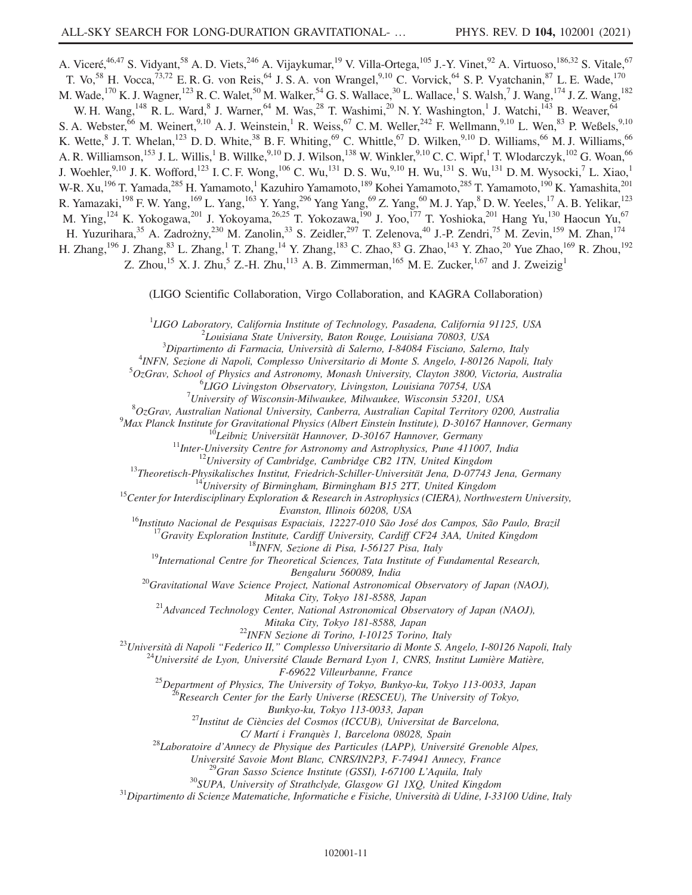A. Viceré,<sup>46,47</sup> S. Vidyant,<sup>58</sup> A. D. Viets,<sup>246</sup> A. Vijaykumar,<sup>19</sup> V. Villa-Ortega,<sup>105</sup> J.-Y. Vinet,<sup>92</sup> A. Virtuoso,<sup>186,32</sup> S. Vitale,<sup>67</sup> T. Vo,<sup>58</sup> H. Vocca,<sup>73,72</sup> E. R. G. von Reis,<sup>64</sup> J. S. A. von Wrangel,<sup>9,10</sup> C. Vorvick,<sup>64</sup> S. P. Vyatchanin,<sup>87</sup> L. E. Wade,<sup>170</sup> M. Wade, <sup>170</sup> K. J. Wagner, <sup>123</sup> R. C. Walet, <sup>50</sup> M. Walker, <sup>54</sup> G. S. Wallace, <sup>30</sup> L. Wallace, <sup>1</sup> S. Walsh, <sup>7</sup> J. Wang, <sup>174</sup> J. Z. Wang, <sup>182</sup> W. H. Wang,<sup>148</sup> R. L. Ward,<sup>8</sup> J. Warner,<sup>64</sup> M. Was,<sup>28</sup> T. Washimi,<sup>20</sup> N. Y. Washington,<sup>1</sup> J. Watchi,<sup>143</sup> B. Weaver,<sup>64</sup> S. A. Webster, <sup>66</sup> M. Weinert, <sup>9,10</sup> A. J. Weinstein, <sup>1</sup> R. Weiss, <sup>67</sup> C. M. Weller, <sup>242</sup> F. Wellmann, <sup>9,10</sup> L. Wen, <sup>83</sup> P. Weßels, <sup>9,10</sup> K. Wette,  $8$  J. T. Whelan,  $^{123}$  D. D. White,  $^{38}$  B. F. Whiting,  $^{69}$  C. Whittle,  $^{67}$  D. Wilken,  $^{9,10}$  D. Williams,  $^{66}$  M. J. Williams,  $^{66}$ A. R. Williamson,<sup>153</sup> J. L. Willis,<sup>1</sup> B. Willke,<sup>9,10</sup> D. J. Wilson,<sup>138</sup> W. Winkler,<sup>9,10</sup> C. C. Wipf,<sup>1</sup> T. Wlodarczyk,<sup>102</sup> G. Woan,<sup>66</sup> J. Woehler,<sup>9,10</sup> J. K. Wofford,<sup>123</sup> I. C. F. Wong,<sup>106</sup> C. Wu,<sup>131</sup> D. S. Wu,<sup>9,10</sup> H. Wu,<sup>131</sup> S. Wu,<sup>131</sup> D. M. Wysocki,<sup>7</sup> L. Xiao,<sup>1</sup> W-R. Xu,<sup>196</sup> T. Yamada,<sup>285</sup> H. Yamamoto,<sup>1</sup> Kazuhiro Yamamoto,<sup>189</sup> Kohei Yamamoto,<sup>285</sup> T. Yamamoto,<sup>190</sup> K. Yamashita,<sup>201</sup> R. Yamazaki,<sup>198</sup> F. W. Yang,<sup>169</sup> L. Yang,<sup>163</sup> Y. Yang,<sup>296</sup> Yang Yang,<sup>69</sup> Z. Yang,<sup>60</sup> M. J. Yap,<sup>8</sup> D. W. Yeeles,<sup>17</sup> A. B. Yelikar,<sup>123</sup> M. Ying,<sup>124</sup> K. Yokogawa,<sup>201</sup> J. Yokoyama,<sup>26,25</sup> T. Yokozawa,<sup>190</sup> J. Yoo,<sup>177</sup> T. Yoshioka,<sup>201</sup> Hang Yu,<sup>130</sup> Haocun Yu,<sup>67</sup> H. Yuzurihara,<sup>35</sup> A. Zadrożny,<sup>230</sup> M. Zanolin,<sup>33</sup> S. Zeidler,<sup>297</sup> T. Zelenova,<sup>40</sup> J.-P. Zendri,<sup>75</sup> M. Zevin,<sup>159</sup> M. Zhan,<sup>174</sup> H. Zhang,<sup>196</sup> J. Zhang,<sup>83</sup> L. Zhang,<sup>1</sup> T. Zhang,<sup>14</sup> Y. Zhang,<sup>183</sup> C. Zhao,<sup>83</sup> G. Zhao,<sup>143</sup> Y. Zhao,<sup>20</sup> Yue Zhao,<sup>169</sup> R. Zhou,<sup>192</sup>

Z. Zhou,<sup>15</sup> X. J. Zhu,<sup>5</sup> Z.-H. Zhu,<sup>113</sup> A. B. Zimmerman,<sup>165</sup> M. E. Zucker,<sup>1,67</sup> and J. Zweizig<sup>1</sup>

(LIGO Scientific Collaboration, Virgo Collaboration, and KAGRA Collaboration)

<sup>1</sup>LIGO Laboratory, California Institute of Technology, Pasadena, California 91125, USA<br> $\frac{2}{1}$  evisiona State University, Paten Boyes, Lewisiang 70803, USA  $\mu$ <sup>2</sup> Louisiana State University, Baton Rouge, Louisiana 70803, USA

 ${}^{3}$ Dipartimento di Farmacia, Università di Salerno, I-84084 Fisciano, Salerno, Italy

<sup>4</sup>INFN, Sezione di Napoli, Complesso Universitario di Monte S. Angelo, I-80126 Napoli, Italy

 $50z$ Grav, School of Physics and Astronomy, Monash University, Clayton 3800, Victoria, Australia

 ${}^{6}LIGO$  Livingston Observatory, Livingston, Louisiana 70754, USA

 $17$ University of Wisconsin-Milwaukee, Milwaukee, Wisconsin 53201, USA

 ${}^{8}Oz$ Grav, Australian National University, Canberra, Australian Capital Territory 0200, Australia<br><sup>9</sup>Max Planck Institute for Gravitational Physics (Albert Einstein Institute), D-30167 Hannover, Germany

<sup>16</sup>Leibniz Universität Hannover, D-30167 Hannover, Germany<br><sup>11</sup>Inter-University Centre for Astronomy and Astrophysics, Pune 411007, India<br><sup>12</sup>University of Cambridge, Cambridge CB2 1TN, United Kingdom<br><sup>13</sup>Theoretisch-Phy

Evanston, Illinois 60208, USA<br><sup>16</sup>Instituto Nacional de Pesquisas Espaciais, 12227-010 São José dos Campos, São Paulo, Brazil<sup>17</sup>Gravity Exploration Institute, Cardiff University, Cardiff CF24 3AA, United Kingdom<br><sup>18</sup>INFN,

Bengaluru 560089, India<br><sup>20</sup>Gravitational Wave Science Project, National Astronomical Observatory of Japan (NAOJ),

Mitaka City, Tokyo 181-8588, Japan<br><sup>21</sup>Advanced Technology Center, National Astronomical Observatory of Japan (NAOJ),

Mitaka City, Tokyo 181-8588, Japan<br><sup>23</sup>Università di Napoli "Federico II," Complesso Universitario di Monte S. Angelo, I-80126 Napoli, Italy<br><sup>23</sup>Università di Napoli "Federico II," Complesso Universitario di Monte S. Angel

<sup>25</sup>Department of Physics, The University of Tokyo, Bunkyo-ku, Tokyo 113-0033, Japan <sup>26</sup>Research Center for the Early Universe (RESCEU), The University of Tokyo,

 $Bunkyo-ku, Tokyo 113-0033, Japan$ <sup>27</sup>Institut de Ciències del Cosmos (ICCUB), Universitat de Barcelona,

C/ Martí i Franquès 1, Barcelona 08028, Spain<br><sup>28</sup>Laboratoire d'Annecy de Physique des Particules (LAPP), Université Grenoble Alpes,<br>Université Savoie Mont Blanc, CNRS/IN2P3, F-74941 Annecy, France

<sup>29</sup>Gran Sasso Science Institute (GSSI), I-67100 L'Aquila, Italy<br><sup>30</sup>SUPA, University of Strathclyde, Glasgow G1 1XQ, United Kingdom<br><sup>31</sup>Dipartimento di Scienze Matematiche, Informatiche e Fisiche, Università di Udine, I-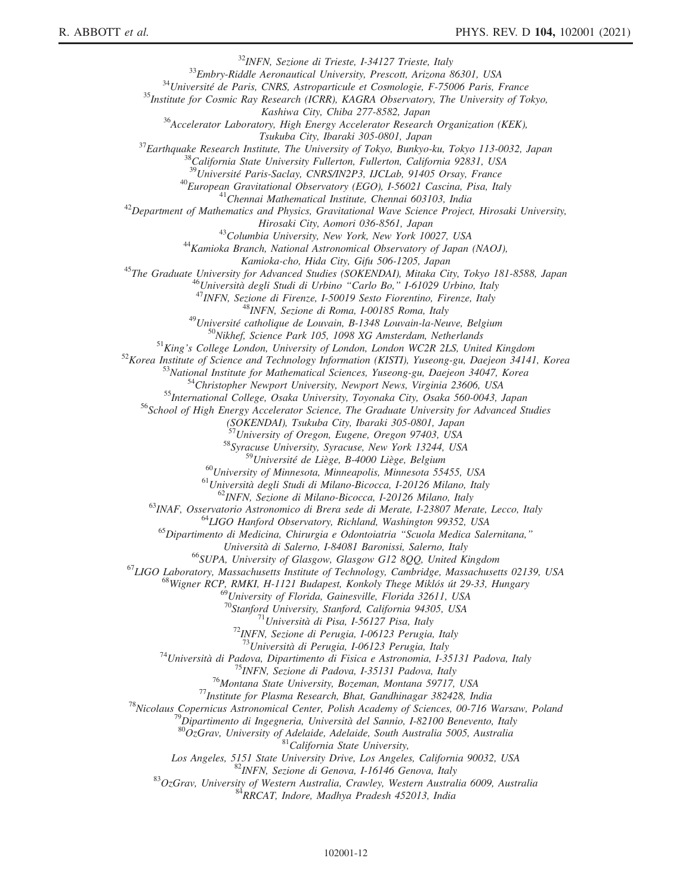<sup>32</sup>INFN, Sezione di Trieste, I-34127 Trieste, Italy<br><sup>33</sup>Embry-Riddle Aeronautical University, Prescott, Arizona 86301, USA<br><sup>34</sup>Université de Paris, CNRS, Astroparticule et Cosmologie, F-75006 Paris, France<br><sup>35</sup>Institute  $K^{36}$ Accelerator Laboratory, High Energy Accelerator Research Organization (KEK), Tsukuba City, Ibaraki 305-0801, Japan<br><sup>37</sup>Earthquake Research Institute, The University of Tokyo, Bunkyo-ku, Tokyo 113-0032, Japan<br><sup>38</sup>California State University Fullerton, Fullerton, California 92831, USA<br><sup>39</sup>Université <sup>40</sup>European Gravitational Observatory (EGO), I-56021 Cascina, Pisa, Italy<br><sup>41</sup>Chennai Mathematical Institute, Chennai 603103, India<br><sup>42</sup>Department of Mathematics and Physics, Gravitational Wave Science Project, Hirosaki Hirosaki City, Aomori 036-8561, Japan<br><sup>43</sup>Columbia University, New York, New York 10027, USA<br><sup>44</sup>Kamioka Branch, National Astronomical Observatory of Japan (NAOJ),<br>Kamioka-cho, Hida City, Gifu 506-1205, Japan  $\label{f:2} \begin{array}{c} \textit{Kamioka-cho, Hida City, Gifu 506-1205, Japan} \\ \textit{A}^{45} The \textit{Graduate University for Advanced Studies (SOKENDAI), Miaka City, Tokyo 181-8588, Japan \\ \textit{A}^{46} \textit{University of A}{} \textit{d} \textit{C}{} \textit{b}{} \textit{C}{} \textit{C}{} \textit{in}{} \textit{O}{} \textit{C}{} \textit{1}{} \textit{O}{} \textit{b}{} \textit{O}{} \textit{C}{} \textit{B}{} \textit{O}, \textit{V}{} \textit{$ (SOKENDAI), Tsukuba City, Ibaraki 305-0801, Japan<br><sup>57</sup>University of Oregon, Eugene, Oregon 97403, USA <sup>58</sup>Syracuse University, Syracuse, New York 13244, USA <sup>59</sup>Université de Liège, B-4000 Liège, Belgium <sup>60</sup>University of Minnesota, Minneapolis, Minnesota 55455, USA<br>
<sup>61</sup>Università degli Studi di Milano-Bicocca, I-20126 Milano, Italy<br>
<sup>62</sup>INFN, Sezione di Milano-Bicocca, I-20126 Milano, Italy<br>
<sup>63</sup>INAF, Osservatorio Astro Università di Salerno, I-84081 Baronissi, Salerno, Italy<br><sup>66</sup>SUPA, University of Glasgow, Glasgow G12 8QQ, United Kingdom<br><sup>67</sup>LIGO Laboratory, Massachusetts Institute of Technology, Cambridge, Massachusetts 02139, USA<br><sup>68</sup>  $^{69}$ University of Florida, Gainesville, Florida 32611, USA<br><sup>70</sup>Stanford University, Stanford, California 94305, USA <sup>71</sup>Università di Pisa, I-56127 Pisa, Italy <sup>72</sup>INFN, Sezione di Perugia, I-06123 Perugia, Italy <sup>73</sup>Università di Perugia, I-06123 Perugia, Italy <sup>74</sup>Università di Padova, Dipartimento di Fisica e Astronomia, I-35131 Padova, Italy<br><sup>75</sup>INFN, Sezione di Padova, I-35131 Padova, Italy<br><sup>76</sup>Montana State University, Bozeman, Montana 59717, USA<br><sup>77</sup>Institute for Plasma Re <sup>83</sup>DzGrav, University of Western Australia, Crawley, Western Australia 6009, Australia<br><sup>83</sup>OzGrav, University of Western Australia, Crawley, Western Australia 6009, Australia<br><sup>84</sup>RRCAT, Indore, Madhya Pradesh 452013, Indi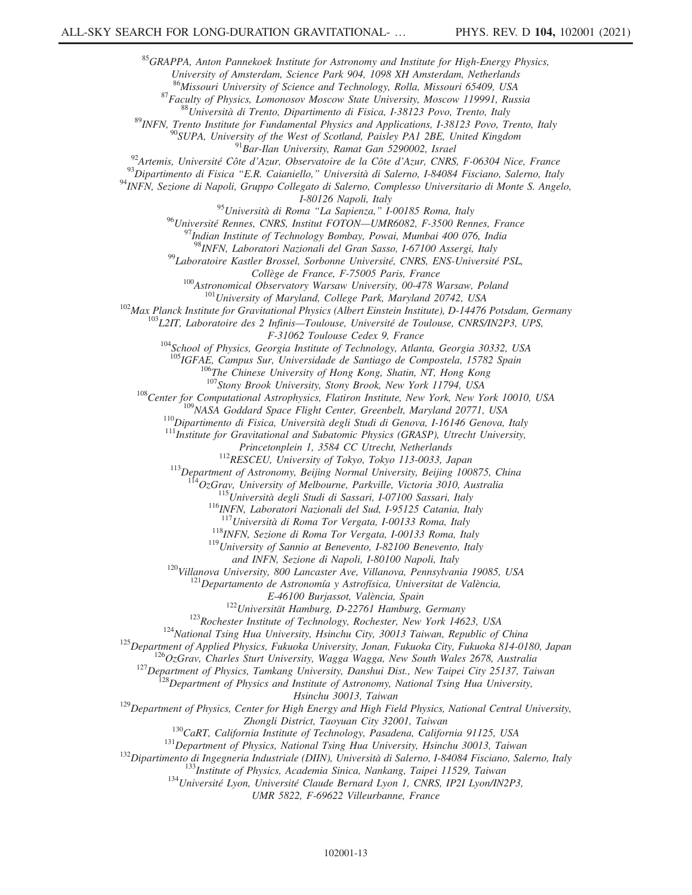<sup>85</sup>GRAPPA, Anton Pannekoek Institute for Astronomy and Institute for High-Energy Physics, University of Amsterdam, Science Park 904, 1098 XH Amsterdam, Netherlands 86 Missouri University of Science and Technology, Rolla, Missouri 65409, USA <sup>87</sup> Faculty of Physics, Lomonosov Moscow State University, Moscow 119991, Russia<br><sup>88</sup> Università di Trento, Dipartimento di Fisica, 1-38123 Povo, Trento, Italy<br><sup>89</sup> INFN, Trento Institute for Fundamental Physics and Appl I-80126 Napoli, Italy  $^{95}$ Università di Roma "La Sapienza," I-00185 Roma, Italy <sup>96</sup>Université Rennes, CNRS, Institut FOTON—UMR6082, F-3500 Rennes, France<br><sup>97</sup>Indian Institute of Technology Bombay, Powai, Mumbai 400 076, India<br><sup>98</sup>INFN, Laboratori Nazionali del Gran Sasso, I-67100 Assergi, Italy <sup>99</sup>Laboratoire Kastler Brossel, Sorbonne Université, CNRS, ENS-Université PSL, Collège de France, F-75005 Paris, France<br><sup>100</sup>Astronomical Observatory Warsaw University, 00-478 Warsaw, Poland<br><sup>102</sup>Max Planck Institute for Gravitational Physics (Albert Einstein Institute), D-14476 Potsdam, Germany<br><sup>10</sup> <sup>104</sup>School of Physics, Georgia Institute of Technology, Atlanta, Georgia 30332, USA <sup>105</sup>IGFAE, Campus Sur, Universidade de Santiago de Compostela, 15782 Spain <sup>106</sup>The Chinese University of Hong Kong, Shatin, NT, Hong Kong<br><sup>107</sup>Stony Brook University, Stony Brook, New York 11794, USA <sup>108</sup>Center for Computational Astrophysics, Flatiron Institute, New York, New York 10010, USA<br><sup>109</sup>NASA Goddard Space Flight Center, Greenbelt, Maryland 20771, USA<br><sup>110</sup>Dipartimento di Fisica, Università degli Studi di Ge <sup>112</sup>RESCEU, University of Tokyo, Tokyo 113-0033, Japan <sup>113</sup>Department of Astronomy, Beijing Normal University, Beijing 100875, China  $114$ OzGrav, University of Melbourne, Parkville, Victoria 3010, Australia<br> $115$ Università degli Studi di Sassari, I-07100 Sassari, Italy<br> $116$ <sub>INFN</sub>, Laboratori Nazionali del Sud, I-95125 Catania, Italy<br> $117$ Università di <sup>118</sup>INFN, Sezione di Roma Tor Vergata, I-00133 Roma, Italy  $^{119}$ University of Sannio at Benevento, I-82100 Benevento, Italy and INFN, Sezione di Napoli, I-80100 Napoli, Italy <sup>120</sup>Villanova University, 800 Lancaster Ave, Villanova, Pennsylvania 19085, USA <sup>121</sup>Departamento de Astronomía y Astrofísica, Universitat de València, E-46100 Burjassot, València, Spain<br><sup>122</sup>Universität Hamburg, D-22761 Hamburg, Germany<br><sup>123</sup>Rochester Institute of Technology, Rochester, New York 14623, USA<br><sup>124</sup>National Tsing Hua University, Hsinchu City, 30013 Taiwan, R

 $^{129}$ Department of Physics, Center for High Energy and High Field Physics, National Central University,

Zhongli District, Taoyuan City 32001, Taiwan<br><sup>130</sup>CaRT, California Institute of Technology, Pasadena, California 91125, USA<br><sup>131</sup>Department of Physics, National Tsing Hua University, Hsinchu 30013, Taiwan<br><sup>132</sup>Dipartimento

UMR 5822, F-69622 Villeurbanne, France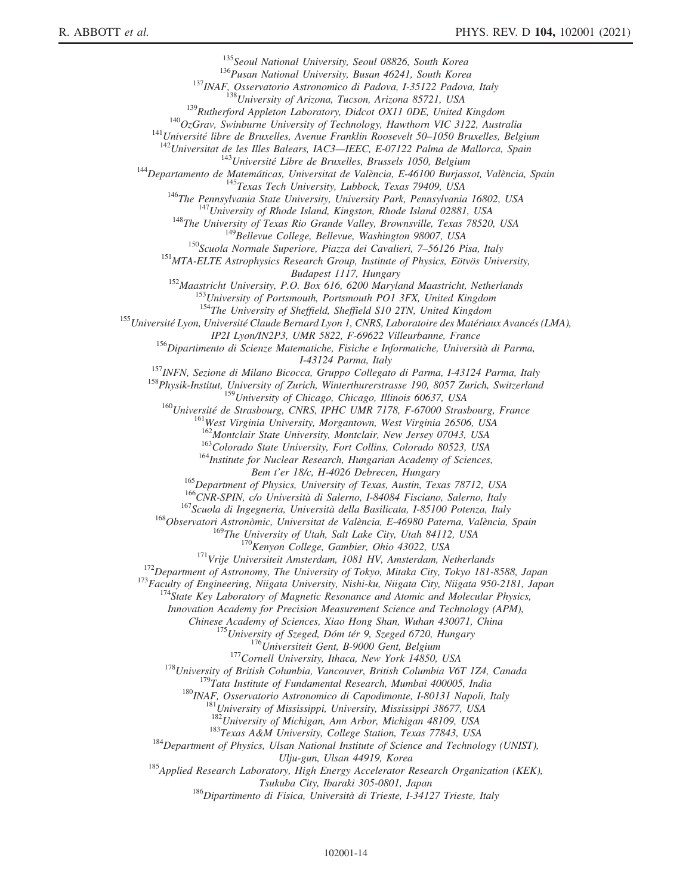<sup>135</sup>Seoul National University, Seoul 08826, South Korea<br><sup>135</sup>Seoul National University, Busan 46241, South Korea<br><sup>136</sup>INAF, Osservatorio Astronomico di Padova, 1-35122 Padova, Italy<br><sup>139</sup>INAF, Osservatorio Astronomico di Budapest 1117, Hungary<br><sup>152</sup>Maastricht University, P.O. Box 616, 6200 Maryland Maastricht, Netherlands<br><sup>153</sup>University of Portsmouth, Portsmouth PO1 3FX, United Kingdom<br><sup>154</sup>The University of Sheffield, Sheffield S10 2TN, <sup>155</sup>Université Lyon, Université Claude Bernard Lyon 1, CNRS, Laboratoire des Matériaux Avancés (LMA),<br>IP21 Lyon/IN2P3, UMR 5822, F-69622 Villeurbanne, France <sup>156</sup>Dipartimento di Scienze Matematiche, Fisiche e Informatiche, Università di Parma, I-43124 Parma, Italy<br><sup>157</sup>INFN, Sezione di Milano Bicocca, Gruppo Collegato di Parma, I-43124 Parma, Italy<br><sup>158</sup>Physik-Institut, University of Zurich, Winterthurerstrasse 190, 8057 Zurich, Switzerland <sup>159</sup>University of Chicago, Chicago, Illinois 60637, USA<br><sup>160</sup>Université de Strasbourg, CNRS, IPHC UMR 7178, F-67000 Strasbourg, France<br><sup>161</sup>West Virginia University, Morgantown, West Virginia 26506, USA <sup>161</sup>West Virginia University, Morgantown, West Virginia 26506, USA<br><sup>162</sup>Montclair State University, Montclair, New Jersey 07043, USA<br><sup>163</sup>Colorado State University, Fort Collins, Colorado 80523, USA<br><sup>164</sup>Institute for Nu Bem t'er 18/c, H-4026 Debrecen, Hungary<br><sup>165</sup>Department of Physics, University of Texas, Austin, Texas 78712, USA<br><sup>166</sup>CNR-SPIN, c/o Università di Salerno, I-84084 Fisciano, Salerno, Italy<br><sup>167</sup>Scuola di Ingegneria, Univer <sup>170</sup>Kenyon College, Gambier, Ohio 43022, USA<br><sup>171</sup>Vrije Universiteit Amsterdam, 1081 HV, Amsterdam, Netherlands<br><sup>172</sup>Department of Astronomy, The University of Tokyo, Mitaka City, Tokyo 181-8588, Japan<br><sup>173</sup>Faculty of En Innovation Academy for Precision Measurement Science and Technology (APM), <sup>175</sup>University of Szeged, Dóm tér 9, Szeged 6720, Hungary<br><sup>176</sup>Universiteit Gent, B-9000 Gent, Belgium<br><sup>177</sup>Cornell University, Ithaca, New York 14850, USA<br><sup>178</sup>University of British Columbia, Vancouver, British Columbia <sup>183</sup>Texas A&M University, College Station, Texas 77843, USA <sup>184</sup>Department of Physics, Ulsan National Institute of Science and Technology (UNIST), Ulju-gun, Ulsan 44919, Korea<br><sup>185</sup>Applied Research Laboratory, High Energy Accelerator Research Organization (KEK),<br>Tsukuba City, Ibaraki 305-0801, Japan  $186$ Dipartimento di Fisica, Università di Trieste, I-34127 Trieste, Italy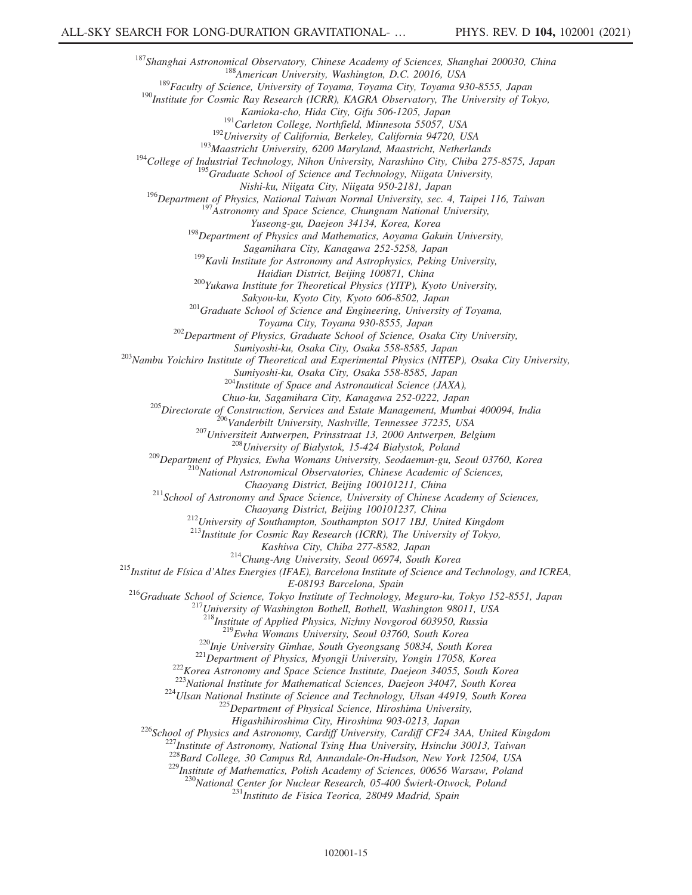<sup>187</sup>Shanghai Astronomical Observatory, Chinese Academy of Sciences, Shanghai 200030, China<br><sup>188</sup>American University, Washington, D.C. 20016, USA<br><sup>189</sup>Faculty of Science, University of Toyama, Toyama City, Toyama 930-8555 <sup>191</sup>Carleton College, Northfield, Minnesota 55057, USA<br><sup>192</sup>University of California, Berkeley, California 94720, USA<br><sup>193</sup>Maastricht University, 6200 Maryland, Maastricht, Netherlands<br><sup>194</sup>College of Industrial Technolog 195<sub>Graduate</sub> School of Science and Technology, Niigata University, Nishi-ku, Niigata City, Niigata 950-2181, Japan <sup>196</sup>Department of Physics, National Taiwan Normal University, sec. 4, Taipei 116, Taiwan <sup>197</sup>Astronomy and Space Science, Chungnam National University,<br>
<sup>197</sup>Astronomy and Space Science, Chungnam National University,<br>
<sup></sup>  $^{198}$ Department of Physics and Mathematics, Aoyama Gakuin University, Sagamihara City, Kanagawa 252-5258, Japan 199Kavli Institute for Astronomy and Astrophysics, Peking University, Haidian District, Beijing 100871, China<br><sup>200</sup>Yukawa Institute for Theoretical Physics (YITP), Kyoto University, Sakyou-ku, Kyoto City, Kyoto 606-8502, Japan 2016 Graduate School of Science and Engineering, University of Toyama, Toyama City, Toyama 930-8555, Japan <sup>202</sup>Department of Physics, Graduate School of Science, Osaka City University, Sumiyoshi-ku, Osaka City, Osaka 558-8585, Japan<br><sup>203</sup>Nambu Yoichiro Institute of Theoretical and Experimental Physics (NITEP), Osaka City University, Sumiyoshi-ku, Osaka City, Osaka 558-8585, Japan <sup>204</sup>Institute of Space and Astronautical Science (JAXA), Chuo-ku, Sagamihara City, Kanagawa 252-0222, Japan <sup>205</sup>Directorate of Construction, Services and Estate Management, Mumbai 400094, India<br><sup>206</sup>Vanderbilt University, Nashville, Tennessee 37235, USA<br><sup>207</sup>Universiteit Antwerpen, Prinsstraat 13, 2000 Antwerpen, Belgium<br><sup>208</sup>  $^{211}$ School of Astronomy and Space Science, University of Chinese Academy of Sciences, Chaoyang District, Beijing 100101237, China<br><sup>212</sup>University of Southampton, Southampton SO17 1BJ, United Kingdom<br><sup>213</sup>Institute for Cosmic Ray Research (ICRR), The University of Tokyo,<br>Kashiwa City, Chiba 277-8582, Japan <sup>214</sup>Chung-Ang University, Seoul 06974, South Korea<br><sup>215</sup>Institut de Física d'Altes Energies (IFAE), Barcelona Institute of Science and Technology, and ICREA, E-08193 Barcelona, Spain<br><sup>216</sup>Graduate School of Science, Tokyo Institute of Technology, Meguro-ku, Tokyo 152-8551, Japan<br><sup>217</sup>University of Washington Bothell, Bothell, Washington 98011, USA<br><sup>218</sup>Institute of Applied Phy <sup>219</sup>Ewha Womans University, Seoul 03760, South Korea<br><sup>220</sup>Inje University Gimhae, South Gyeongsang 50834, South Korea<br><sup>221</sup>Department of Physics, Myongji University, Yongin 17058, Korea<br><sup>222</sup>Korea Astronomy and Space Sci Higashihiroshima City, Hiroshima 903-0213, Japan<br><sup>226</sup>School of Physics and Astronomy, Cardiff University, Cardiff CF24 3AA, United Kingdom<br><sup>227</sup>Institute of Astronomy, National Tsing Hua University, Hsinchu 30013, Taiwan <sup>229</sup> Institute of Mathematics, Polish Academy of Sciences, 00656 Warsaw, Poland <sup>230</sup>National Center for Nuclear Research, 05-400 Świerk-Otwock, Poland <sup>231</sup>Instituto de Fisica Teorica, 28049 Madrid, Spain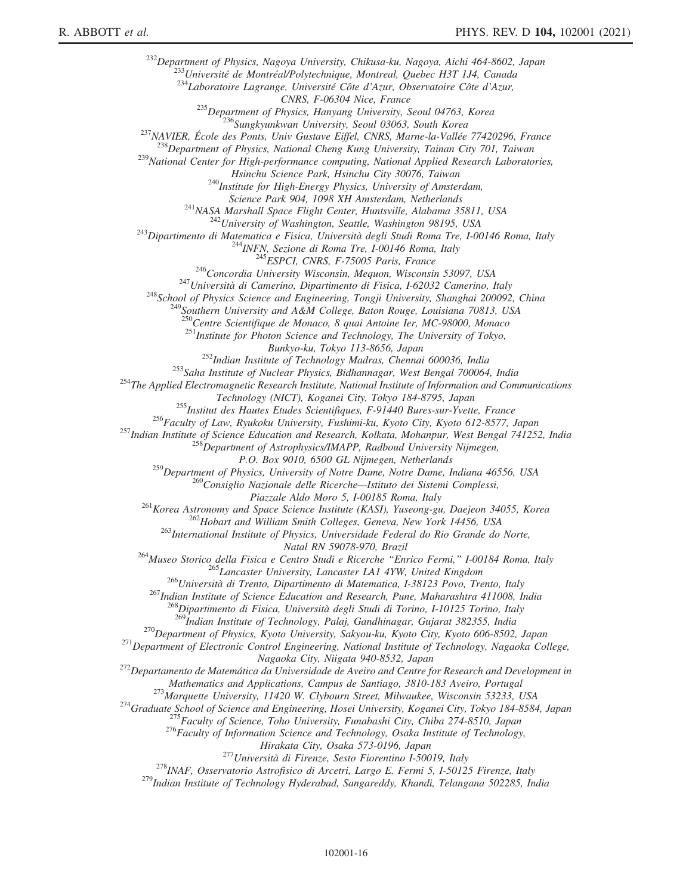<sup>232</sup>Department of Physics, Nagoya University, Chikusa-ku, Nagoya, Aichi 464-8602, Japan<br><sup>233</sup>Université de Montréal/Polytechnique, Montreal, Quebec H3T 1J4, Canada<br><sup>234</sup>Laboratoire Lagrange, Université Côte d'Azur, Obser

<sup>235</sup>Department of Physics, Hanyang University, Seoul 04763, Korea<br><sup>237</sup>NAVIER, École des Ponts, Univ Gustave Eiffel, CNRS, Marne-la-Vallée 77420296, France<br><sup>237</sup>NAVIER, École des Ponts, Univ Gustave Eiffel, CNRS, Marne-l

240 Institute for High-Energy Physics, University of Amsterdam,

Science Park 904, 1098 XH Amsterdam, Netherlands<br><sup>241</sup>NASA Marshall Space Flight Center, Huntsville, Alabama 35811, USA<br><sup>242</sup>University of Washington, Seattle, Washington 98195, USA<br><sup>243</sup>Dipartimento di Matematica e Fisica

<sup>250</sup>Centre Scientifique de Monaco, 8 quai Antoine Ier, MC-98000, Monaco

 $^{251}$ Institute for Photon Science and Technology, The University of Tokyo,

Bunkyo-ku, Tokyo 113-8656, Japan<br><sup>252</sup>Indian Institute of Technology Madras, Chennai 600036, India<br><sup>253</sup>Saha Institute of Nuclear Physics, Bidhannagar, West Bengal 700064, India<br><sup>254</sup>The Applied Electromagnetic Research In

<sup>255</sup>Institut des Hautes Etudes Scientifiques, F-91440 Bures-sur-Yvette, France<br><sup>256</sup>Faculty of Law, Ryukoku University, Fushimi-ku, Kyoto City, Kyoto 612-8577, Japan<br><sup>257</sup>Indian Institute of Science Education and Researc

P.O. Box 9010, 6500 GL Nijmegen, Netherlands

<sup>259</sup>Department of Physics, University of Notre Dame, Notre Dame, Indiana 46556, USA<br><sup>260</sup>Consiglio Nazionale delle Ricerche—Istituto dei Sistemi Complessi,<br>Piazzale Aldo Moro 5, I-00185 Roma, Italy

<sup>261</sup>Korea Astronomy and Space Science Institute (KASI), Yuseong-gu, Daejeon 34055, Korea<br><sup>262</sup>Hobart and William Smith Colleges, Geneva, New York 14456, USA<br><sup>263</sup>International Institute of Physics, Universidade Federal d

<sup>264</sup>Museo Storico della Fisica e Centro Studi e Ricerche "Enrico Fermi," I-00184 Roma, Italy<br><sup>265</sup>Lancaster University, Lancaster LA1 4YW, United Kingdom<br><sup>266</sup>Università di Trento, Dipartimento di Matematica, I-38123 Pov

<sup>268</sup>Dipartimento di Fisica, Università degli Studi di Torino, I-10125 Torino, Italy<br><sup>269</sup>Indian Institute of Technology, Palaj, Gandhinagar, Gujarat 382355, India

 $^{270}$ Department of Physics, Kyoto University, Sakyou-ku, Kyoto City, Kyoto 606-8502, Japan<br><sup>271</sup>Department of Electronic Control Engineering, National Institute of Technology, Nagaoka College,

Nagaoka City, Niigata 940-8532, Japan<br><sup>272</sup>Departamento de Matemática da Universidade de Aveiro and Centre for Research and Development in

Mathematics and Applications, Campus de Santiago, 3810-183 Aveiro, Portugal<br><sup>273</sup>Marquette University, 11420 W. Clybourn Street, Milwaukee, Wisconsin 53233, USA<br><sup>274</sup>Graduate School of Science and Engineering, Hosei Univer

Hirakata City, Osaka 573-0196, Japan<br><sup>278</sup>INAF, Osservatorio Astrofisico di Arcetri, Largo E. Fermi 5, I-50125 Firenze, Italy<br><sup>278</sup>INAF, Osservatorio Astrofisico di Arcetri, Largo E. Fermi 5, I-50125 Firenze, Italy<br><sup>279</sup>In